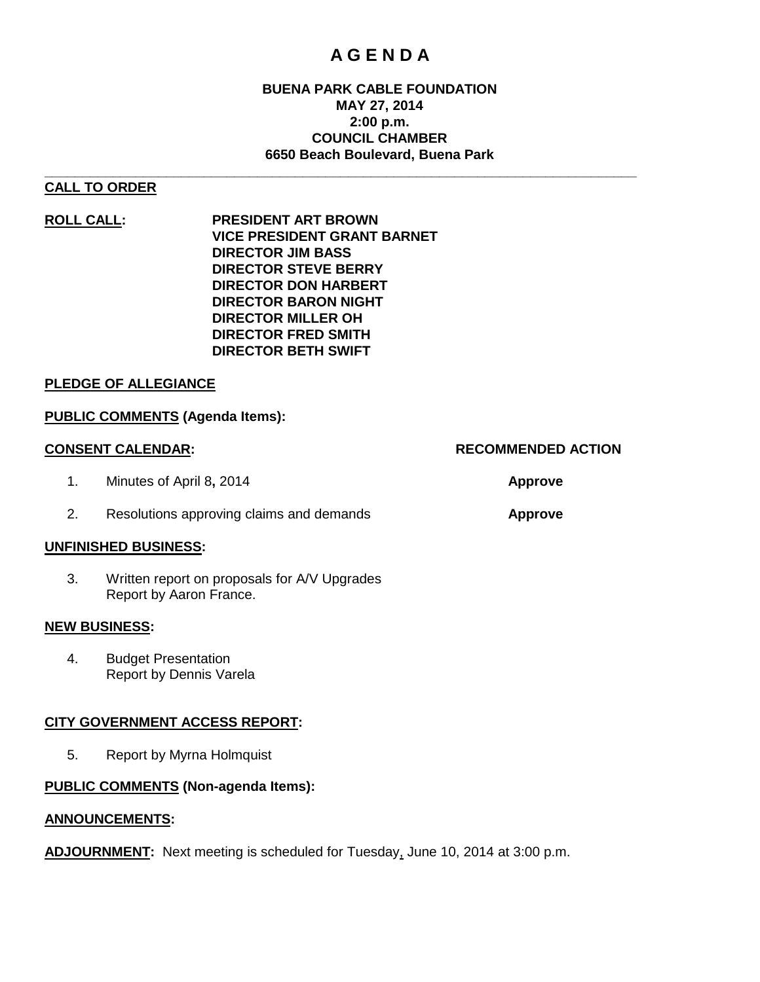## **A G E N D A**

#### **BUENA PARK CABLE FOUNDATION MAY 27, 2014 2:00 p.m. COUNCIL CHAMBER 6650 Beach Boulevard, Buena Park**

#### **\_\_\_\_\_\_\_\_\_\_\_\_\_\_\_\_\_\_\_\_\_\_\_\_\_\_\_\_\_\_\_\_\_\_\_\_\_\_\_\_\_\_\_\_\_\_\_\_\_\_\_\_\_\_\_\_\_\_\_\_\_\_\_\_\_\_\_\_\_\_\_\_\_\_\_\_\_\_ CALL TO ORDER**

**ROLL CALL: PRESIDENT ART BROWN VICE PRESIDENT GRANT BARNET DIRECTOR JIM BASS DIRECTOR STEVE BERRY DIRECTOR DON HARBERT DIRECTOR BARON NIGHT DIRECTOR MILLER OH DIRECTOR FRED SMITH DIRECTOR BETH SWIFT**

#### **PLEDGE OF ALLEGIANCE**

#### **PUBLIC COMMENTS (Agenda Items):**

- 1. Minutes of April 8**,** 2014 **Approve**
	- 2. Resolutions approving claims and demands **Approve**

#### **UNFINISHED BUSINESS:**

3. Written report on proposals for A/V Upgrades Report by Aaron France.

#### **NEW BUSINESS:**

4. Budget Presentation Report by Dennis Varela

#### **CITY GOVERNMENT ACCESS REPORT:**

5. Report by Myrna Holmquist

#### **PUBLIC COMMENTS (Non-agenda Items):**

#### **ANNOUNCEMENTS:**

**ADJOURNMENT:** Next meeting is scheduled for Tuesday, June 10, 2014 at 3:00 p.m.

#### **CONSENT CALENDAR: RECOMMENDED ACTION**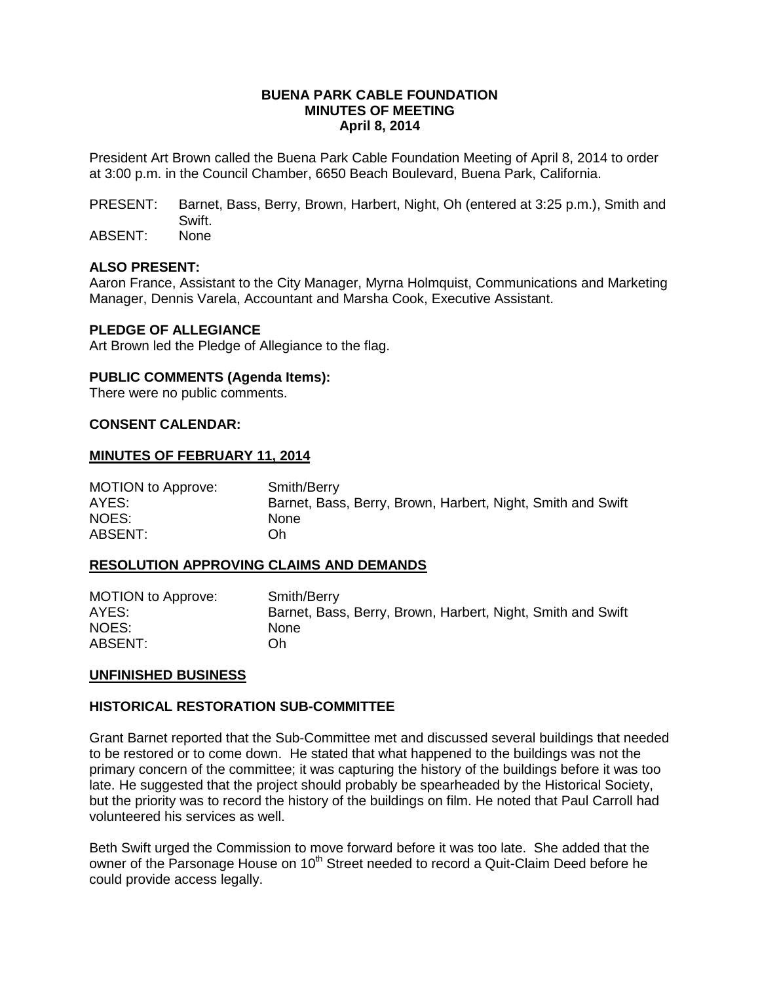#### **BUENA PARK CABLE FOUNDATION MINUTES OF MEETING April 8, 2014**

President Art Brown called the Buena Park Cable Foundation Meeting of April 8, 2014 to order at 3:00 p.m. in the Council Chamber, 6650 Beach Boulevard, Buena Park, California.

- PRESENT: Barnet, Bass, Berry, Brown, Harbert, Night, Oh (entered at 3:25 p.m.), Smith and Swift.
- ABSENT: None

#### **ALSO PRESENT:**

Aaron France, Assistant to the City Manager, Myrna Holmquist, Communications and Marketing Manager, Dennis Varela, Accountant and Marsha Cook, Executive Assistant.

#### **PLEDGE OF ALLEGIANCE**

Art Brown led the Pledge of Allegiance to the flag.

#### **PUBLIC COMMENTS (Agenda Items):**

There were no public comments.

#### **CONSENT CALENDAR:**

#### **MINUTES OF FEBRUARY 11, 2014**

MOTION to Approve: Smith/Berry AYES: Barnet, Bass, Berry, Brown, Harbert, Night, Smith and Swift NOES: None ABSENT: Oh

#### **RESOLUTION APPROVING CLAIMS AND DEMANDS**

| <b>MOTION to Approve:</b> | Smith/Berry                                                 |
|---------------------------|-------------------------------------------------------------|
| AYES:                     | Barnet, Bass, Berry, Brown, Harbert, Night, Smith and Swift |
| NOES:                     | <b>None</b>                                                 |
| ABSENT:                   | Oh.                                                         |

#### **UNFINISHED BUSINESS**

#### **HISTORICAL RESTORATION SUB-COMMITTEE**

Grant Barnet reported that the Sub-Committee met and discussed several buildings that needed to be restored or to come down. He stated that what happened to the buildings was not the primary concern of the committee; it was capturing the history of the buildings before it was too late. He suggested that the project should probably be spearheaded by the Historical Society, but the priority was to record the history of the buildings on film. He noted that Paul Carroll had volunteered his services as well.

Beth Swift urged the Commission to move forward before it was too late. She added that the owner of the Parsonage House on 10<sup>th</sup> Street needed to record a Quit-Claim Deed before he could provide access legally.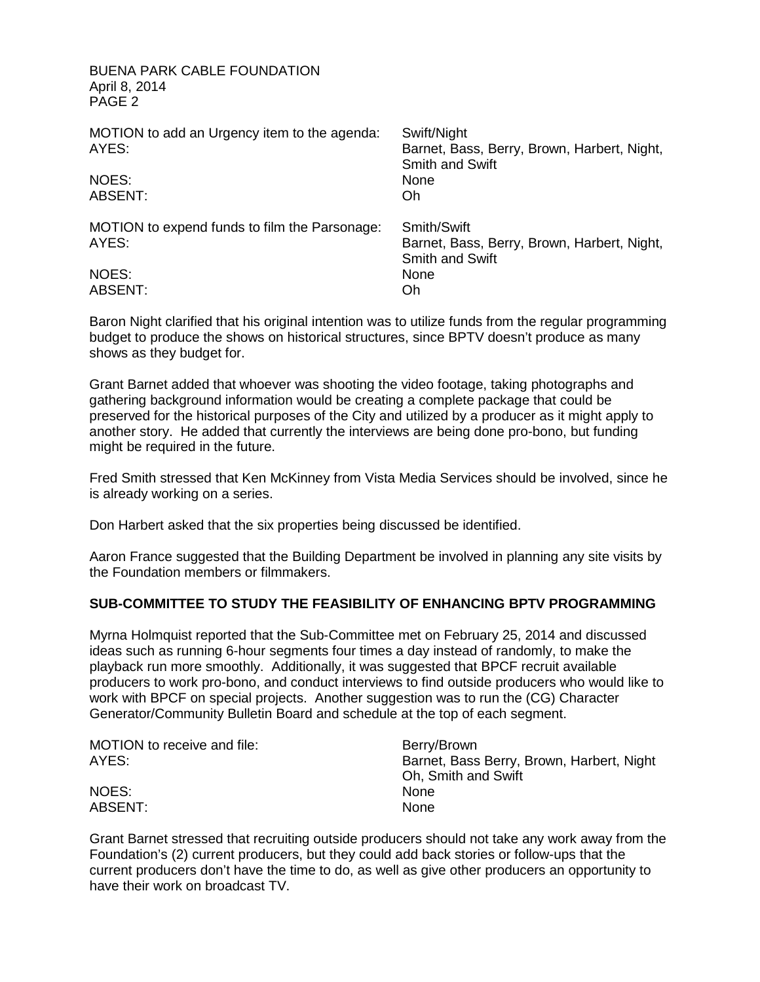BUENA PARK CABLE FOUNDATION April 8, 2014 PAGE 2

| MOTION to add an Urgency item to the agenda:<br>AYES:<br><b>NOES:</b><br><b>ABSENT:</b> | Swift/Night<br>Barnet, Bass, Berry, Brown, Harbert, Night,<br><b>Smith and Swift</b><br>None<br>Oh |
|-----------------------------------------------------------------------------------------|----------------------------------------------------------------------------------------------------|
| MOTION to expend funds to film the Parsonage:<br>AYES:                                  | Smith/Swift<br>Barnet, Bass, Berry, Brown, Harbert, Night,<br><b>Smith and Swift</b>               |
| NOES:<br>ABSENT:                                                                        | None<br>Oh                                                                                         |

Baron Night clarified that his original intention was to utilize funds from the regular programming budget to produce the shows on historical structures, since BPTV doesn't produce as many shows as they budget for.

Grant Barnet added that whoever was shooting the video footage, taking photographs and gathering background information would be creating a complete package that could be preserved for the historical purposes of the City and utilized by a producer as it might apply to another story. He added that currently the interviews are being done pro-bono, but funding might be required in the future.

Fred Smith stressed that Ken McKinney from Vista Media Services should be involved, since he is already working on a series.

Don Harbert asked that the six properties being discussed be identified.

Aaron France suggested that the Building Department be involved in planning any site visits by the Foundation members or filmmakers.

#### **SUB-COMMITTEE TO STUDY THE FEASIBILITY OF ENHANCING BPTV PROGRAMMING**

Myrna Holmquist reported that the Sub-Committee met on February 25, 2014 and discussed ideas such as running 6-hour segments four times a day instead of randomly, to make the playback run more smoothly. Additionally, it was suggested that BPCF recruit available producers to work pro-bono, and conduct interviews to find outside producers who would like to work with BPCF on special projects. Another suggestion was to run the (CG) Character Generator/Community Bulletin Board and schedule at the top of each segment.

| MOTION to receive and file: | Berry/Brown                               |
|-----------------------------|-------------------------------------------|
| AYES:                       | Barnet, Bass Berry, Brown, Harbert, Night |
|                             | Oh, Smith and Swift                       |
| NOES:                       | <b>None</b>                               |
| <b>ABSENT:</b>              | <b>None</b>                               |

Grant Barnet stressed that recruiting outside producers should not take any work away from the Foundation's (2) current producers, but they could add back stories or follow-ups that the current producers don't have the time to do, as well as give other producers an opportunity to have their work on broadcast TV.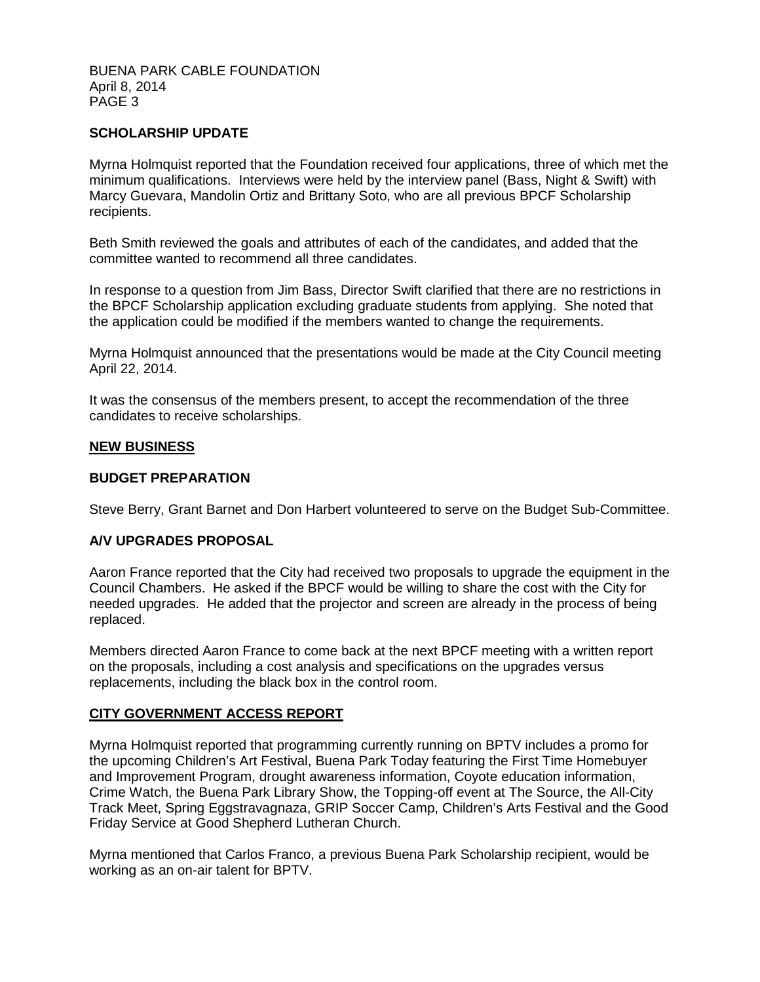#### BUENA PARK CABLE FOUNDATION April 8, 2014 PAGE 3

#### **SCHOLARSHIP UPDATE**

Myrna Holmquist reported that the Foundation received four applications, three of which met the minimum qualifications. Interviews were held by the interview panel (Bass, Night & Swift) with Marcy Guevara, Mandolin Ortiz and Brittany Soto, who are all previous BPCF Scholarship recipients.

Beth Smith reviewed the goals and attributes of each of the candidates, and added that the committee wanted to recommend all three candidates.

In response to a question from Jim Bass, Director Swift clarified that there are no restrictions in the BPCF Scholarship application excluding graduate students from applying. She noted that the application could be modified if the members wanted to change the requirements.

Myrna Holmquist announced that the presentations would be made at the City Council meeting April 22, 2014.

It was the consensus of the members present, to accept the recommendation of the three candidates to receive scholarships.

#### **NEW BUSINESS**

#### **BUDGET PREPARATION**

Steve Berry, Grant Barnet and Don Harbert volunteered to serve on the Budget Sub-Committee.

#### **A/V UPGRADES PROPOSAL**

Aaron France reported that the City had received two proposals to upgrade the equipment in the Council Chambers. He asked if the BPCF would be willing to share the cost with the City for needed upgrades. He added that the projector and screen are already in the process of being replaced.

Members directed Aaron France to come back at the next BPCF meeting with a written report on the proposals, including a cost analysis and specifications on the upgrades versus replacements, including the black box in the control room.

#### **CITY GOVERNMENT ACCESS REPORT**

Myrna Holmquist reported that programming currently running on BPTV includes a promo for the upcoming Children's Art Festival, Buena Park Today featuring the First Time Homebuyer and Improvement Program, drought awareness information, Coyote education information, Crime Watch, the Buena Park Library Show, the Topping-off event at The Source, the All-City Track Meet, Spring Eggstravagnaza, GRIP Soccer Camp, Children's Arts Festival and the Good Friday Service at Good Shepherd Lutheran Church.

Myrna mentioned that Carlos Franco, a previous Buena Park Scholarship recipient, would be working as an on-air talent for BPTV.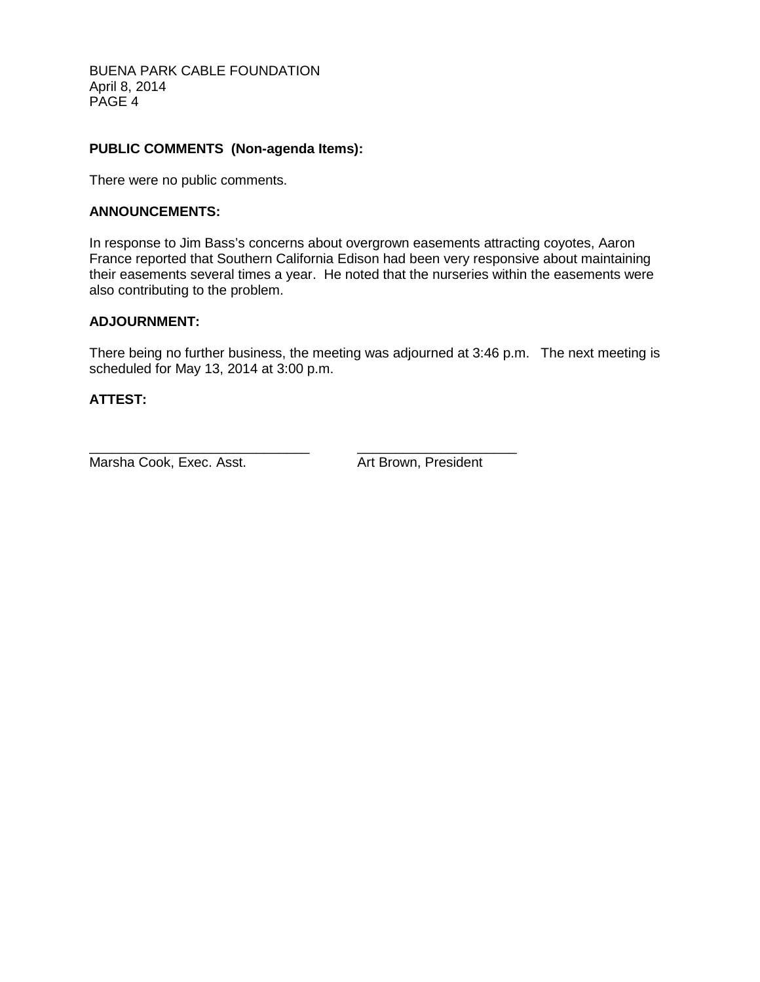BUENA PARK CABLE FOUNDATION April 8, 2014 PAGE 4

#### **PUBLIC COMMENTS (Non-agenda Items):**

There were no public comments.

#### **ANNOUNCEMENTS:**

In response to Jim Bass's concerns about overgrown easements attracting coyotes, Aaron France reported that Southern California Edison had been very responsive about maintaining their easements several times a year. He noted that the nurseries within the easements were also contributing to the problem.

#### **ADJOURNMENT:**

There being no further business, the meeting was adjourned at 3:46 p.m. The next meeting is scheduled for May 13, 2014 at 3:00 p.m.

#### **ATTEST:**

Marsha Cook, Exec. Asst. Art Brown, President

\_\_\_\_\_\_\_\_\_\_\_\_\_\_\_\_\_\_\_\_\_\_\_\_\_\_\_\_\_ \_\_\_\_\_\_\_\_\_\_\_\_\_\_\_\_\_\_\_\_\_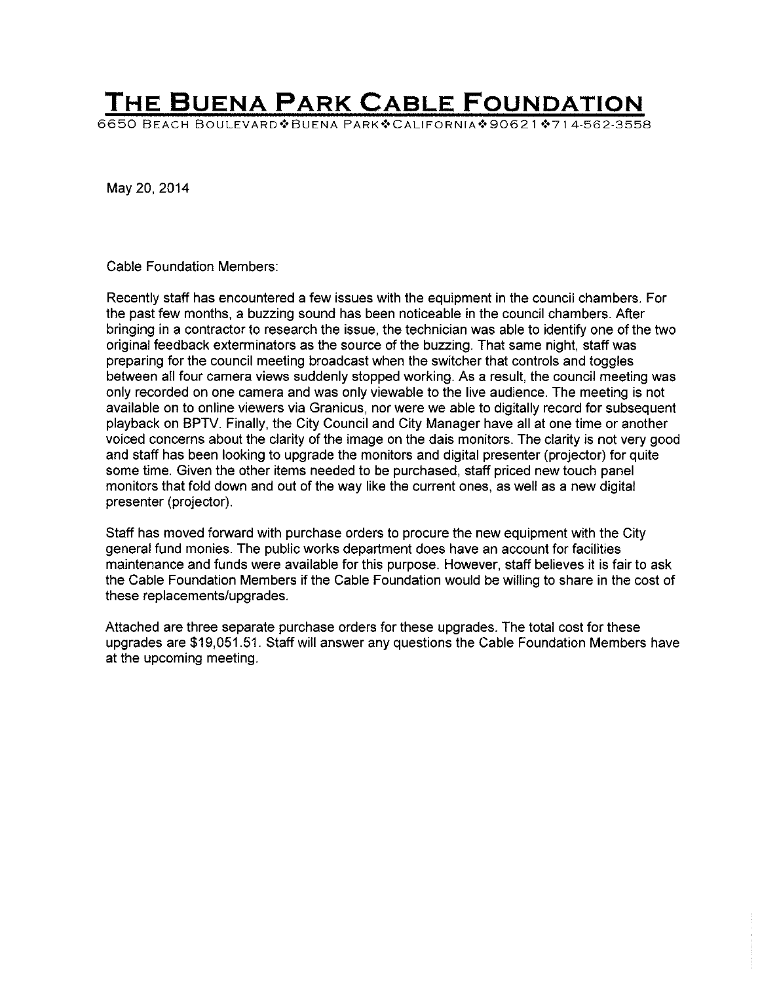# **THE BUENA PARK CABLE FOUNDATION**

6650 BEACH BOULEVARD & BUENA PARK & CALIFORNIA \* 90621 \* 714-562-3558

May 20, 2014

Cable Foundation Members:

Recently staff has encountered a few issues with the equipment in the council chambers. For the past few months, a buzzing sound has been noticeable in the council chambers. After bringing in a contractor to research the issue, the technician was able to identify one of the two original feedback exterminators as the source of the buzzing. That same night, staff was preparing for the council meeting broadcast when the switcher that controls and toggles between all four camera views suddenly stopped working. As a result, the council meeting was only recorded on one camera and was only viewable to the live audience. The meeting is not available on to online viewers via Granicus, nor were we able to digitally record for subsequent playback on BPTV. Finally, the City Council and City Manager have all at one time or another voiced concerns about the clarity of the image on the dais monitors. The clarity is not very good and staff has been looking to upgrade the monitors and digital presenter (projector) for quite some time. Given the other items needed to be purchased, staff priced new touch panel monitors that fold down and out of the way like the current ones, as well as a new digital presenter (projector).

Staff has moved forward with purchase orders to procure the new equipment with the City general fund monies. The public works department does have an account for facilities maintenance and funds were available for this purpose. However, staff believes it is fair to ask the Cable Foundation Members if the Cable Foundation would be willing to share in the cost of these replacements/upgrades.

Attached are three separate purchase orders for these upgrades. The total cost for these upgrades are \$19,051.51. Staff will answer any questions the Cable Foundation Members have at the upcoming meeting.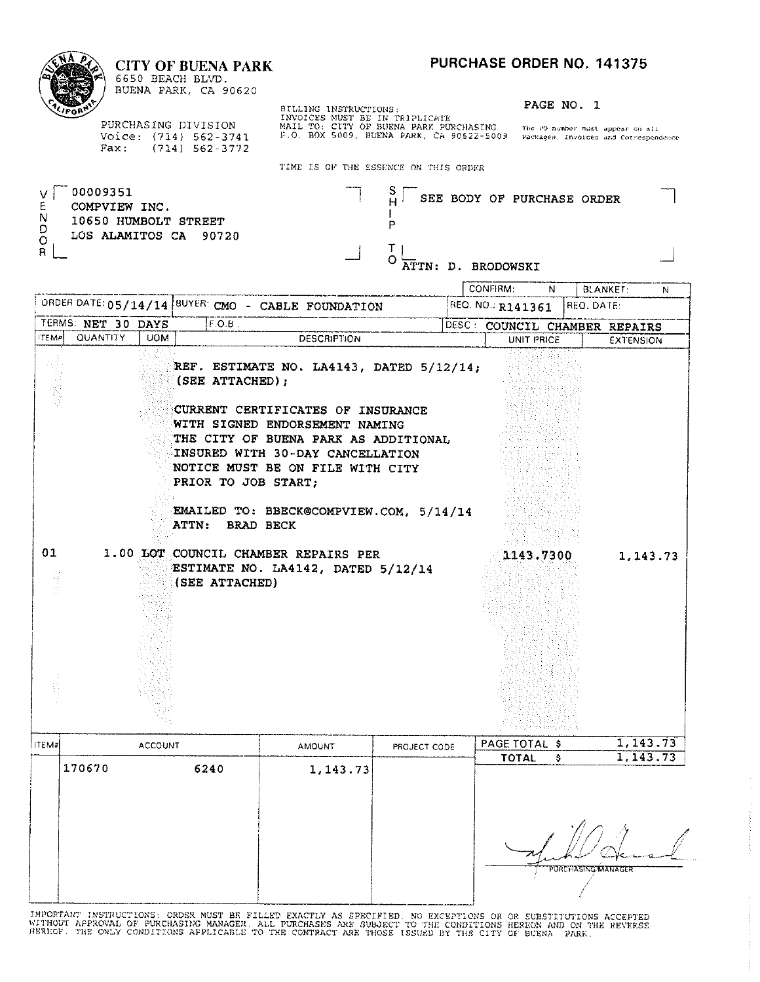CONFIRM:

### **CITY OF BUENA PARK**

| r.<br>٠ |
|---------|
| ۰<br>ι, |

6650 BEACH BLVD. BUENA PARK, CA 90620

PURCHASING DIVISION Voice: (714) 562-3741 Fax: (714) 562-3772 BILLING INSTRUCTIONS:<br>INVOICES MUST BE IN TRIPLICATE<br>MAIL TO: CITY OF BUENA PARK PURCHASING The PO-number must appear on all<br>F.O. BOX 5009, BUENA PARK, CA 90622-5009 Packages, Invoices and Correspondence

PAGE NO. 1

 $\overline{N}$ 

BLANKET:

 $\overline{N}$ 

TIME IS OF THE ESSENCE ON THIS ORDER

| 00009351<br>COMPVIEW INC.<br>N<br>10650 HUMBOLT STREET<br>D | ◡<br>SEE BODY OF PURCHASE ORDER |  |
|-------------------------------------------------------------|---------------------------------|--|
| LOS ALAMITOS CA 90720<br>$\circ$<br>R                       | ATTN: D. BRODOWSKI              |  |

|              |                    |                |                |           |                                                           | ORDER DATE: 05/14/14  BUYER: CMO - CABLE FOUNDATION                                                                                                                                                                                                                        |              | REQ. NO.: R141361             | REQ. DATE:         |           |
|--------------|--------------------|----------------|----------------|-----------|-----------------------------------------------------------|----------------------------------------------------------------------------------------------------------------------------------------------------------------------------------------------------------------------------------------------------------------------------|--------------|-------------------------------|--------------------|-----------|
|              | TERMS: NET 30 DAYS |                |                | $F.O.B$ : |                                                           |                                                                                                                                                                                                                                                                            |              | DESC: COUNCIL CHAMBER REPAIRS |                    |           |
| <b>ITEMP</b> | QUANTITY           | <b>UOM</b>     |                |           |                                                           | <b>DESCRIPTION</b>                                                                                                                                                                                                                                                         |              | UNIT PRICE                    |                    | EXTENSION |
|              |                    |                |                |           | (SEE ATTACHED);<br>PRIOR TO JOB START;<br>ATTN: BRAD BECK | REF. ESTIMATE NO. LA4143, DATED 5/12/14;<br>CURRENT CERTIFICATES OF INSURANCE<br>WITH SIGNED ENDORSEMENT NAMING<br>THE CITY OF BUENA PARK AS ADDITIONAL<br>INSURED WITH 30-DAY CANCELLATION<br>NOTICE MUST BE ON FILE WITH CITY<br>EMAILED TO: BBECK@COMPVIEW.COM, 5/14/14 |              |                               |                    |           |
| 01<br>有法     |                    |                | (SEE ATTACHED) |           |                                                           | 1.00 LOT COUNCIL CHAMBER REPAIRS PER<br>ESTIMATE NO. LA4142, DATED 5/12/14                                                                                                                                                                                                 |              | 1143.7300                     |                    | 1, 143.73 |
| <b>ITEM#</b> |                    | <b>ACCOUNT</b> |                |           |                                                           | <b>AMOUNT</b>                                                                                                                                                                                                                                                              | PROJECT CODE | PAGE TOTAL \$                 |                    | 1,143.73  |
|              | 170670             |                |                | 6240      |                                                           |                                                                                                                                                                                                                                                                            |              | <b>TOTAL</b>                  | \$                 | 1,143.73  |
|              |                    |                |                |           |                                                           | 1, 143.73                                                                                                                                                                                                                                                                  |              |                               | PORCHASING MANAGER |           |

IMPORTANT INSTRUCTIONS: ORDER MUST BE FILLED EXACTLY AS SPECIFIED. NO EXCEPTIONS OR OR SUBSTITUTIONS ACCEPTED<br>WITHOUT APPROVAL OF PURCHASING MANAGER. ALL PURCHASES ARE SUBJECT TO THE CONDITIONS HEREON AND ON THE REVERSE<br>HE

-1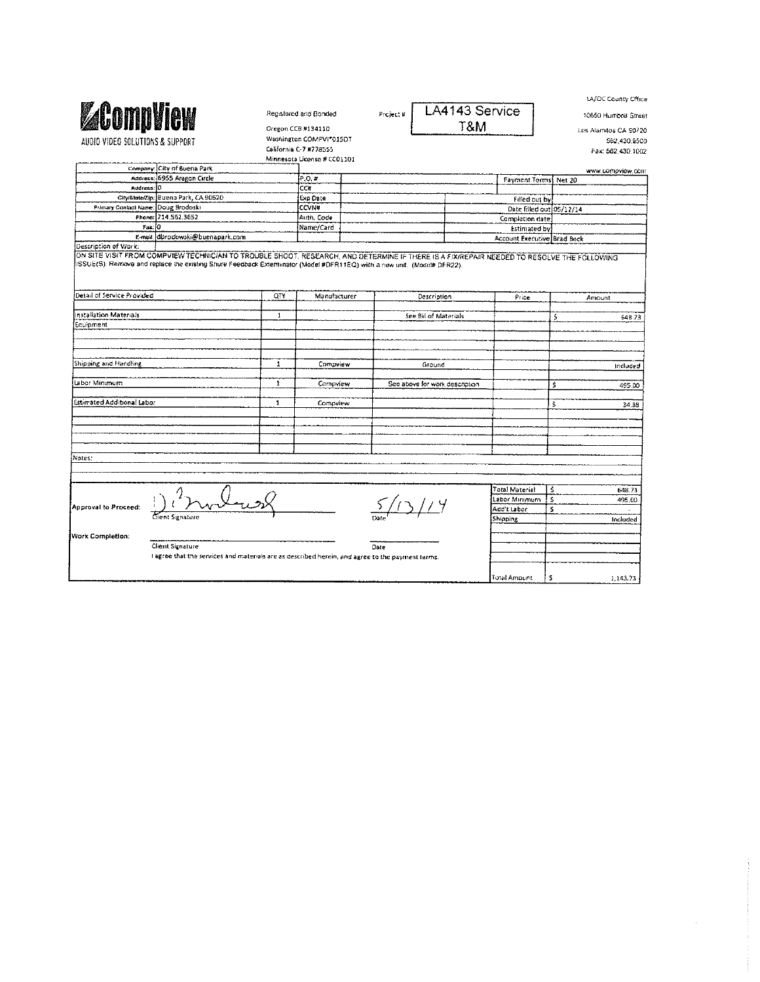| <b>ZCompliew</b><br>AUDIO VIDEO SOLUTIONS & SUPPORT<br>Company: City of Buena Park<br>Address: 6955 Aragon Circle<br>City/State/Zip: Buena Park, CA 90620<br>Primary Contact Name: Doug Brodoski<br>Phone: 714.562.3652<br>E-mail: dbrodowski@buenapark.com<br>ON SITE VISIT FROM COMPVIEW TECHNICIAN TO TROUBLE SHOOT. RESEARCH, AND DETERMINE IF THERE IS A FIXIREPAIR NEEDED TO RESOLVE THE FOLLOWING<br>ISSUE(S): Remove and replace the existing Shure Feedback Exterminator (Model #DFR11EQ) with a new unit. (Model# DFR22). | QTY<br>$\mathbf{1}$ | Registered and Bonded<br>Oregon CCB #134110<br>Washington COMPVI*015DT<br>California C-7 #778555<br>Minnesota License # CC01101<br>P, O, H<br>CC#<br>Exp Date<br><b>CCVN#</b><br>Auth. Code<br>Name/Card<br>Manufacturer | Project # | Description<br>See Bill of Materials | LA4143 Service<br>T&M                                                                          | Payment Terms Net 20<br>Filled out by:<br>Date filled out 05/12/14<br>Completion date<br><b>Estimated by</b><br>Account Executive. Brad Beck<br>Price | ś                                                                          | 10650 Humboll Street<br>Los Alamitos CA 90720<br>562 430 9500<br>Fax: 562.430.1002<br>www.compview.com<br>Amount |
|-------------------------------------------------------------------------------------------------------------------------------------------------------------------------------------------------------------------------------------------------------------------------------------------------------------------------------------------------------------------------------------------------------------------------------------------------------------------------------------------------------------------------------------|---------------------|--------------------------------------------------------------------------------------------------------------------------------------------------------------------------------------------------------------------------|-----------|--------------------------------------|------------------------------------------------------------------------------------------------|-------------------------------------------------------------------------------------------------------------------------------------------------------|----------------------------------------------------------------------------|------------------------------------------------------------------------------------------------------------------|
|                                                                                                                                                                                                                                                                                                                                                                                                                                                                                                                                     |                     |                                                                                                                                                                                                                          |           |                                      |                                                                                                |                                                                                                                                                       |                                                                            |                                                                                                                  |
|                                                                                                                                                                                                                                                                                                                                                                                                                                                                                                                                     |                     |                                                                                                                                                                                                                          |           |                                      |                                                                                                |                                                                                                                                                       |                                                                            |                                                                                                                  |
|                                                                                                                                                                                                                                                                                                                                                                                                                                                                                                                                     |                     |                                                                                                                                                                                                                          |           |                                      |                                                                                                |                                                                                                                                                       |                                                                            |                                                                                                                  |
|                                                                                                                                                                                                                                                                                                                                                                                                                                                                                                                                     |                     |                                                                                                                                                                                                                          |           |                                      |                                                                                                |                                                                                                                                                       |                                                                            |                                                                                                                  |
|                                                                                                                                                                                                                                                                                                                                                                                                                                                                                                                                     |                     |                                                                                                                                                                                                                          |           |                                      |                                                                                                |                                                                                                                                                       |                                                                            |                                                                                                                  |
|                                                                                                                                                                                                                                                                                                                                                                                                                                                                                                                                     |                     |                                                                                                                                                                                                                          |           |                                      |                                                                                                |                                                                                                                                                       |                                                                            |                                                                                                                  |
|                                                                                                                                                                                                                                                                                                                                                                                                                                                                                                                                     |                     |                                                                                                                                                                                                                          |           |                                      |                                                                                                |                                                                                                                                                       |                                                                            |                                                                                                                  |
|                                                                                                                                                                                                                                                                                                                                                                                                                                                                                                                                     |                     |                                                                                                                                                                                                                          |           |                                      |                                                                                                |                                                                                                                                                       |                                                                            |                                                                                                                  |
|                                                                                                                                                                                                                                                                                                                                                                                                                                                                                                                                     |                     |                                                                                                                                                                                                                          |           |                                      |                                                                                                |                                                                                                                                                       |                                                                            |                                                                                                                  |
|                                                                                                                                                                                                                                                                                                                                                                                                                                                                                                                                     |                     |                                                                                                                                                                                                                          |           |                                      |                                                                                                |                                                                                                                                                       |                                                                            |                                                                                                                  |
|                                                                                                                                                                                                                                                                                                                                                                                                                                                                                                                                     |                     |                                                                                                                                                                                                                          |           |                                      |                                                                                                |                                                                                                                                                       |                                                                            |                                                                                                                  |
|                                                                                                                                                                                                                                                                                                                                                                                                                                                                                                                                     |                     |                                                                                                                                                                                                                          |           |                                      |                                                                                                |                                                                                                                                                       |                                                                            |                                                                                                                  |
|                                                                                                                                                                                                                                                                                                                                                                                                                                                                                                                                     |                     |                                                                                                                                                                                                                          |           |                                      |                                                                                                |                                                                                                                                                       |                                                                            |                                                                                                                  |
|                                                                                                                                                                                                                                                                                                                                                                                                                                                                                                                                     |                     |                                                                                                                                                                                                                          |           |                                      |                                                                                                |                                                                                                                                                       |                                                                            |                                                                                                                  |
|                                                                                                                                                                                                                                                                                                                                                                                                                                                                                                                                     |                     |                                                                                                                                                                                                                          |           |                                      |                                                                                                |                                                                                                                                                       |                                                                            |                                                                                                                  |
|                                                                                                                                                                                                                                                                                                                                                                                                                                                                                                                                     |                     |                                                                                                                                                                                                                          |           |                                      |                                                                                                |                                                                                                                                                       |                                                                            | 648.73                                                                                                           |
|                                                                                                                                                                                                                                                                                                                                                                                                                                                                                                                                     |                     |                                                                                                                                                                                                                          |           |                                      |                                                                                                |                                                                                                                                                       |                                                                            |                                                                                                                  |
|                                                                                                                                                                                                                                                                                                                                                                                                                                                                                                                                     |                     |                                                                                                                                                                                                                          |           |                                      |                                                                                                |                                                                                                                                                       |                                                                            |                                                                                                                  |
|                                                                                                                                                                                                                                                                                                                                                                                                                                                                                                                                     | $\mathbf{1}$        | Compview                                                                                                                                                                                                                 |           | Ground                               |                                                                                                |                                                                                                                                                       |                                                                            | included                                                                                                         |
|                                                                                                                                                                                                                                                                                                                                                                                                                                                                                                                                     | $\mathbf{1}$        | Compview                                                                                                                                                                                                                 |           | See above for work description       |                                                                                                |                                                                                                                                                       | Ś                                                                          | 495.00                                                                                                           |
|                                                                                                                                                                                                                                                                                                                                                                                                                                                                                                                                     | $\mathbf 1$         | Compview                                                                                                                                                                                                                 |           |                                      |                                                                                                |                                                                                                                                                       | Ś                                                                          | 34.55                                                                                                            |
|                                                                                                                                                                                                                                                                                                                                                                                                                                                                                                                                     |                     |                                                                                                                                                                                                                          |           |                                      |                                                                                                |                                                                                                                                                       |                                                                            |                                                                                                                  |
|                                                                                                                                                                                                                                                                                                                                                                                                                                                                                                                                     |                     |                                                                                                                                                                                                                          |           |                                      |                                                                                                |                                                                                                                                                       |                                                                            |                                                                                                                  |
|                                                                                                                                                                                                                                                                                                                                                                                                                                                                                                                                     |                     |                                                                                                                                                                                                                          |           |                                      |                                                                                                |                                                                                                                                                       |                                                                            |                                                                                                                  |
|                                                                                                                                                                                                                                                                                                                                                                                                                                                                                                                                     |                     |                                                                                                                                                                                                                          |           |                                      |                                                                                                |                                                                                                                                                       |                                                                            |                                                                                                                  |
|                                                                                                                                                                                                                                                                                                                                                                                                                                                                                                                                     |                     |                                                                                                                                                                                                                          |           |                                      |                                                                                                |                                                                                                                                                       | -S                                                                         | 648.73                                                                                                           |
|                                                                                                                                                                                                                                                                                                                                                                                                                                                                                                                                     |                     |                                                                                                                                                                                                                          |           |                                      |                                                                                                |                                                                                                                                                       |                                                                            | 495.00                                                                                                           |
|                                                                                                                                                                                                                                                                                                                                                                                                                                                                                                                                     |                     |                                                                                                                                                                                                                          |           |                                      |                                                                                                |                                                                                                                                                       |                                                                            | ä,                                                                                                               |
|                                                                                                                                                                                                                                                                                                                                                                                                                                                                                                                                     |                     |                                                                                                                                                                                                                          |           |                                      |                                                                                                |                                                                                                                                                       |                                                                            | Included                                                                                                         |
|                                                                                                                                                                                                                                                                                                                                                                                                                                                                                                                                     |                     |                                                                                                                                                                                                                          |           |                                      |                                                                                                |                                                                                                                                                       |                                                                            |                                                                                                                  |
| Client Signature                                                                                                                                                                                                                                                                                                                                                                                                                                                                                                                    |                     |                                                                                                                                                                                                                          |           |                                      |                                                                                                |                                                                                                                                                       |                                                                            |                                                                                                                  |
|                                                                                                                                                                                                                                                                                                                                                                                                                                                                                                                                     |                     |                                                                                                                                                                                                                          |           |                                      |                                                                                                |                                                                                                                                                       |                                                                            |                                                                                                                  |
|                                                                                                                                                                                                                                                                                                                                                                                                                                                                                                                                     |                     |                                                                                                                                                                                                                          |           |                                      |                                                                                                |                                                                                                                                                       |                                                                            |                                                                                                                  |
|                                                                                                                                                                                                                                                                                                                                                                                                                                                                                                                                     |                     |                                                                                                                                                                                                                          |           |                                      |                                                                                                |                                                                                                                                                       | s                                                                          | 1,143.73                                                                                                         |
|                                                                                                                                                                                                                                                                                                                                                                                                                                                                                                                                     | Client Signature    |                                                                                                                                                                                                                          |           | Date                                 | agree that the services and materials are as described herein, and agree to the payment terms. |                                                                                                                                                       | Total Material<br>Labor Minimum<br>Add't Labor<br>Shipping<br>Total Amount | s<br>\$                                                                                                          |

 $\label{eq:1} \mathcal{F}(\mathcal{F}) = \mathcal{F}(\mathcal{F}) \times \mathcal{F}(\mathcal{F}) \times \mathcal{F}(\mathcal{F}) \times \mathcal{F}(\mathcal{F}) \times \mathcal{F}(\mathcal{F})$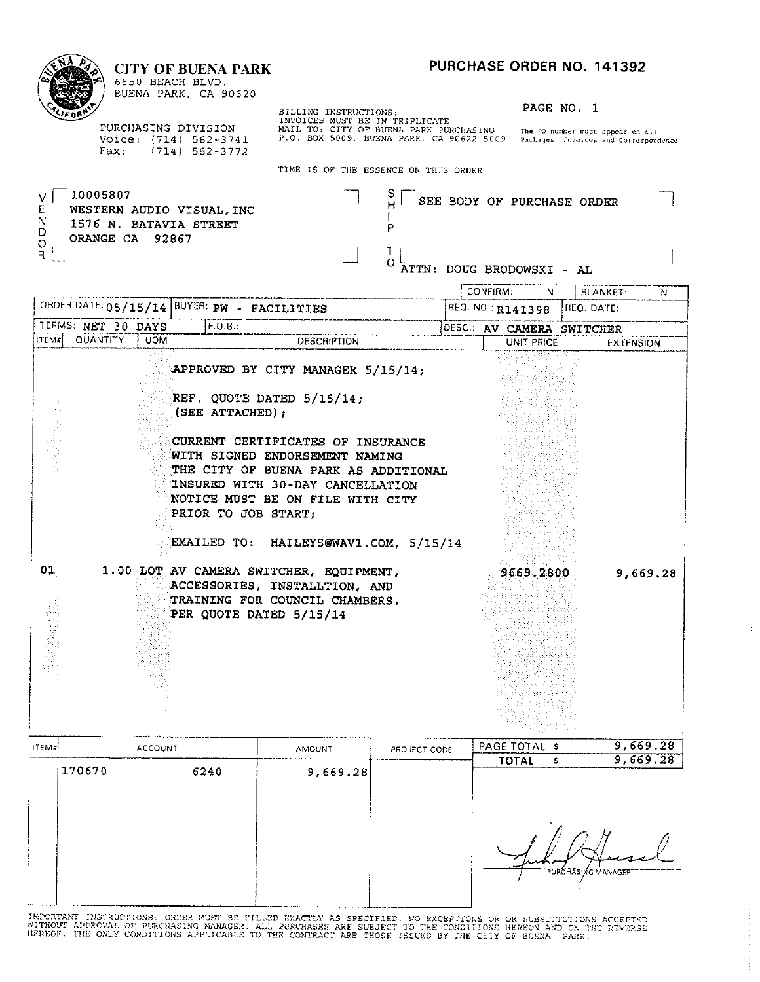#### PURCHASE ORDER NO. 141392 **CITY OF BUENA PARK** 6650 BEACH BLVD. BUENA PARK, CA 90620 BILLING INSTRUCTIONS:<br>INVOICES MUST BE IN TRIPLICATE<br>MAIL TO: CITY OF BUENA PARK PURCHASING The PO number must appear on all<br>P.O. BOX 5009, BUENA PARK, CA 90622-5009 Packages, Invoices and Correspondence PAGE NO. 1 PURCHASING DIVISION Voice: (714) 562-3741<br>Fax: (714) 562-3772 TIME IS OF THE ESSENCE ON THIS ORDER 10005807 S. SEE BODY OF PURCHASE ORDER й

T

 $\overline{P}$ 

T

O

ATTN: DOUG BRODOWSKI - AL CONFIRM:

V Ė WESTERN AUDIO VISUAL. INC N<br>D 1576 N. BATAVIA STREET ORANGE CA 92867  $\circ$  $R$ 

ORDER DATE: 05/15 TERMS: NET 30 D **ITEM# QUANTITY** 

**不是我的人。** 

 $01$ 

医精神病

|              |            |                                                                                                                                                                                                                                                                                                      | CONFIRM:<br>N.            | <b>BLANKET:</b>  | N.       |
|--------------|------------|------------------------------------------------------------------------------------------------------------------------------------------------------------------------------------------------------------------------------------------------------------------------------------------------------|---------------------------|------------------|----------|
| :05/15/14    |            | BUYER: PW - FACILITIES                                                                                                                                                                                                                                                                               | REQ. NO.: R141398         | REQ. DATE:       |          |
| r 30 DAYS    |            | F.O.B.:                                                                                                                                                                                                                                                                                              | DESC.: AV CAMERA SWITCHER |                  |          |
| <b>ITITY</b> | <b>UOM</b> | <b>DESCRIPTION</b>                                                                                                                                                                                                                                                                                   | UNIT PRICE                | <b>EXTENSION</b> |          |
|              |            | APPROVED BY CITY MANAGER 5/15/14;<br>REF. QUOTE DATED 5/15/14;<br>$(SEE \tATTACHED)$ ;<br>CURRENT CERTIFICATES OF INSURANCE<br>WITH SIGNED ENDORSEMENT NAMING<br>THE CITY OF BUENA PARK AS ADDITIONAL<br>INSURED WITH 30-DAY CANCELLATION<br>NOTICE MUST BE ON FILE WITH CITY<br>PRIOR TO JOB START: |                           |                  |          |
|              |            | EMAILED TO: HAILEYS@WAV1.COM, 5/15/14                                                                                                                                                                                                                                                                |                           |                  |          |
|              |            | 1.00 LOT AV CAMERA SWITCHER, EQUIPMENT,<br>ACCESSORIES, INSTALLTION, AND                                                                                                                                                                                                                             | 9669.2800                 |                  | 9,669.28 |

|            |        |                |               |              | - TNG 2014 BASI |                      |          |
|------------|--------|----------------|---------------|--------------|-----------------|----------------------|----------|
| $ $ items! |        | <b>ACCOUNT</b> | <b>AMOUNT</b> | PROJECT CODE | PAGE TOTAL \$   |                      | 9,669.28 |
|            | 170670 | 6240           | 9,669.28      |              | <b>TOTAL</b>    |                      | 9,669.28 |
|            |        |                |               |              |                 | "PURCHASING MANAGER" |          |

TRAINING FOR COUNCIL CHAMBERS.

PER QUOTE DATED 5/15/14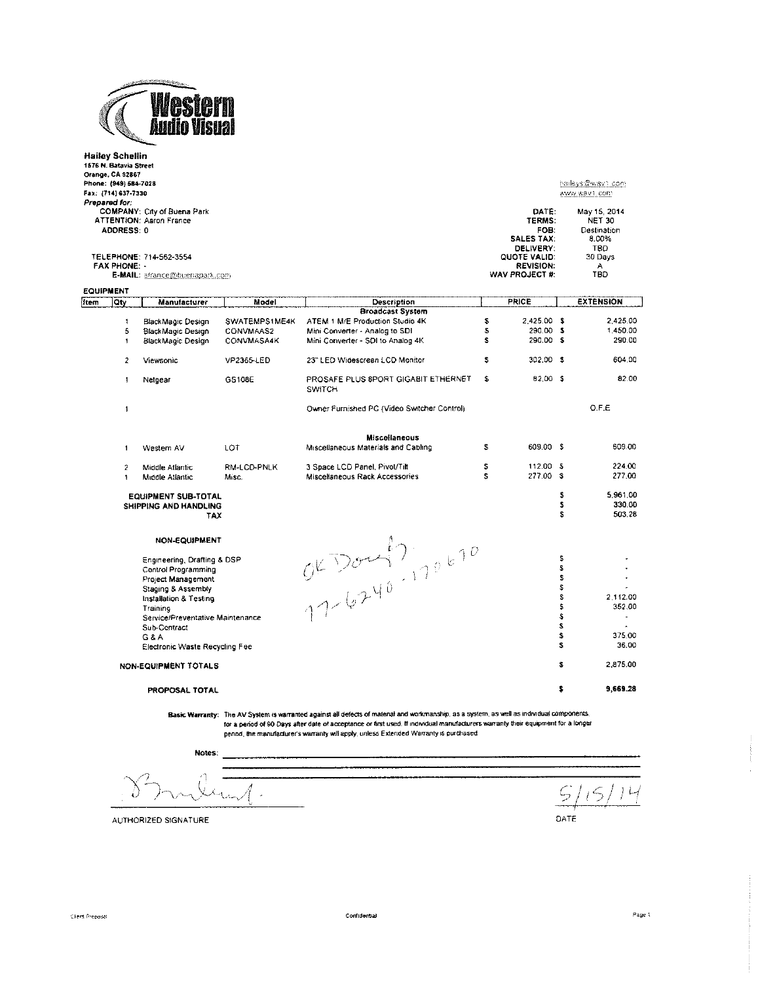

|                                 | Hailey Schellin<br>1576 N. Batavia Street<br>Orange, CA 92867<br>Phone: (949) 584-7028<br>Fax: {714} 637-7330<br>Prepared for.<br>ADDRESS: 0<br><b>FAX PHONE:</b> | COMPANY: City of Buena Park<br><b>ATTENTION: Aaron France</b><br>TELEPHONE: 714-562-3554 |                      |                                                                                                                                            |          | DATE:<br>TERMS:<br>FOB:<br><b>SALES TAX:</b><br>DELIVERY:<br>QUOTE VALID:<br><b>REVISION:</b> |             | haileys@wav1.com<br>www.wav1.com<br>May 15, 2014<br><b>NET 30</b><br>Destination<br>8.00%<br>TBD.<br>30 Days<br>А |
|---------------------------------|-------------------------------------------------------------------------------------------------------------------------------------------------------------------|------------------------------------------------------------------------------------------|----------------------|--------------------------------------------------------------------------------------------------------------------------------------------|----------|-----------------------------------------------------------------------------------------------|-------------|-------------------------------------------------------------------------------------------------------------------|
|                                 |                                                                                                                                                                   | E-MAIL: afrance@buenapark.com                                                            |                      |                                                                                                                                            |          | WAV PROJECT #:                                                                                |             | TBD                                                                                                               |
| <b>EQUIPMENT</b><br><b>Item</b> | Qty                                                                                                                                                               | Manufacturer                                                                             | Model                | Description                                                                                                                                |          | <b>PRICE</b>                                                                                  |             | <b>EXTENSION</b>                                                                                                  |
|                                 |                                                                                                                                                                   |                                                                                          |                      | <b>Broadcast System</b>                                                                                                                    |          |                                                                                               |             |                                                                                                                   |
|                                 | $\mathbf{f}$                                                                                                                                                      | BlackMagic Design                                                                        | SWATEMPS1ME4K        | ATEM 1 M/E Production Studio 4K                                                                                                            | S        | 2 425.00 \$                                                                                   |             | 2,425.00                                                                                                          |
|                                 | 5                                                                                                                                                                 | BlackMagic Design                                                                        | CONVMAAS2            | Mini Converter - Analog to SDI                                                                                                             | \$       | 290.00 \$                                                                                     |             | 1,450.00                                                                                                          |
|                                 | $\mathbf{1}$                                                                                                                                                      | BlackMagic Design                                                                        | CONVMASA4K           | Mini Converter - SDI to Analog 4K                                                                                                          | S        | 290.00 \$                                                                                     |             | 290.00                                                                                                            |
|                                 | $\overline{2}$                                                                                                                                                    | <b>Viewsonic</b>                                                                         | VP2365-LED           | 23" LED Widescreen LCD Monitor                                                                                                             | \$       | 302.00 \$                                                                                     |             | 604.00                                                                                                            |
|                                 | $\mathbf{1}$                                                                                                                                                      | Netgear                                                                                  | GS108E               | PROSAFE PLUS 8PORT GIGABIT ETHERNET<br><b>SWITCH</b>                                                                                       | \$       | 82.00 \$                                                                                      |             | 82.00                                                                                                             |
|                                 | $\pmb{\mathfrak{f}}$                                                                                                                                              |                                                                                          |                      | Owner Furnished PC (Video Switcher Control)                                                                                                |          |                                                                                               |             | O.F.E                                                                                                             |
|                                 |                                                                                                                                                                   |                                                                                          |                      | <b>Miscellaneous</b>                                                                                                                       |          |                                                                                               |             |                                                                                                                   |
|                                 | $\mathbf{1}$                                                                                                                                                      | Western AV                                                                               | LOT                  | Miscellaneous Materials and Cabling                                                                                                        | 3        | 609.00 \$                                                                                     |             | 609.00                                                                                                            |
|                                 | $\overline{\mathbf{c}}$<br>$\ddagger$                                                                                                                             | Middle Atlantic<br>Middle Atlantic                                                       | RM-LCD-PNLK<br>Misc. | 3 Space LCD Panel, Pivot/Tilt<br>Miscellaneous Rack Accessories                                                                            | \$<br>S. | 112.00 \$<br>277.00 \$                                                                        |             | 224.00<br>277.00                                                                                                  |
|                                 |                                                                                                                                                                   | <b>EQUIPMENT SUB-TOTAL</b><br>SHIPPING AND HANDLING<br>TAX                               |                      |                                                                                                                                            |          |                                                                                               | s<br>s<br>Ś | 5,961.00<br>330.00<br>503.28                                                                                      |
|                                 |                                                                                                                                                                   | <b>NON-EQUIPMENT</b>                                                                     |                      | OKDOM! 7,70670                                                                                                                             |          |                                                                                               |             |                                                                                                                   |
|                                 |                                                                                                                                                                   | Engineering, Drafting & DSP                                                              |                      |                                                                                                                                            |          |                                                                                               | \$          |                                                                                                                   |
|                                 |                                                                                                                                                                   | Control Programming                                                                      |                      |                                                                                                                                            |          |                                                                                               | \$          |                                                                                                                   |
|                                 |                                                                                                                                                                   | Project Management                                                                       |                      |                                                                                                                                            |          |                                                                                               | S           | ÷.                                                                                                                |
|                                 |                                                                                                                                                                   | Staging & Assembly                                                                       |                      |                                                                                                                                            |          |                                                                                               | \$<br>Ś     |                                                                                                                   |
|                                 |                                                                                                                                                                   | Installation & Testing                                                                   |                      |                                                                                                                                            |          |                                                                                               | s           | 2.112.00<br>352.00                                                                                                |
|                                 |                                                                                                                                                                   | Training<br>Service/Preventative Maintenance                                             |                      |                                                                                                                                            |          |                                                                                               | \$          |                                                                                                                   |
|                                 |                                                                                                                                                                   | Sub-Contract                                                                             |                      |                                                                                                                                            |          |                                                                                               | s           |                                                                                                                   |
|                                 |                                                                                                                                                                   | G & A                                                                                    |                      |                                                                                                                                            |          |                                                                                               | s           | 375.00                                                                                                            |
|                                 |                                                                                                                                                                   | Electronic Waste Recycling Fee                                                           |                      |                                                                                                                                            |          |                                                                                               | s           | 36.00                                                                                                             |
|                                 |                                                                                                                                                                   | NON-EQUIPMENT TOTALS                                                                     |                      |                                                                                                                                            |          |                                                                                               | \$          | 2,875.00                                                                                                          |
|                                 |                                                                                                                                                                   | PROPOSAL TOTAL                                                                           |                      |                                                                                                                                            |          |                                                                                               | \$          | 9,669.28                                                                                                          |
|                                 |                                                                                                                                                                   |                                                                                          |                      | Basic Warranty: The AV System is warranted against all defects of material and workmanship, as a system, as well as individual components. |          |                                                                                               |             |                                                                                                                   |

For a period of 90 Days after date of acceptance or first used. If individual manufacturers warrantly their equipment for a longer<br>for a period of 90 Days after date of acceptance or first used. If individual manufacturers

Notes:

L,

 $5/$  $15$  $L/$ DATE

AUTHORIZED SIGNATURE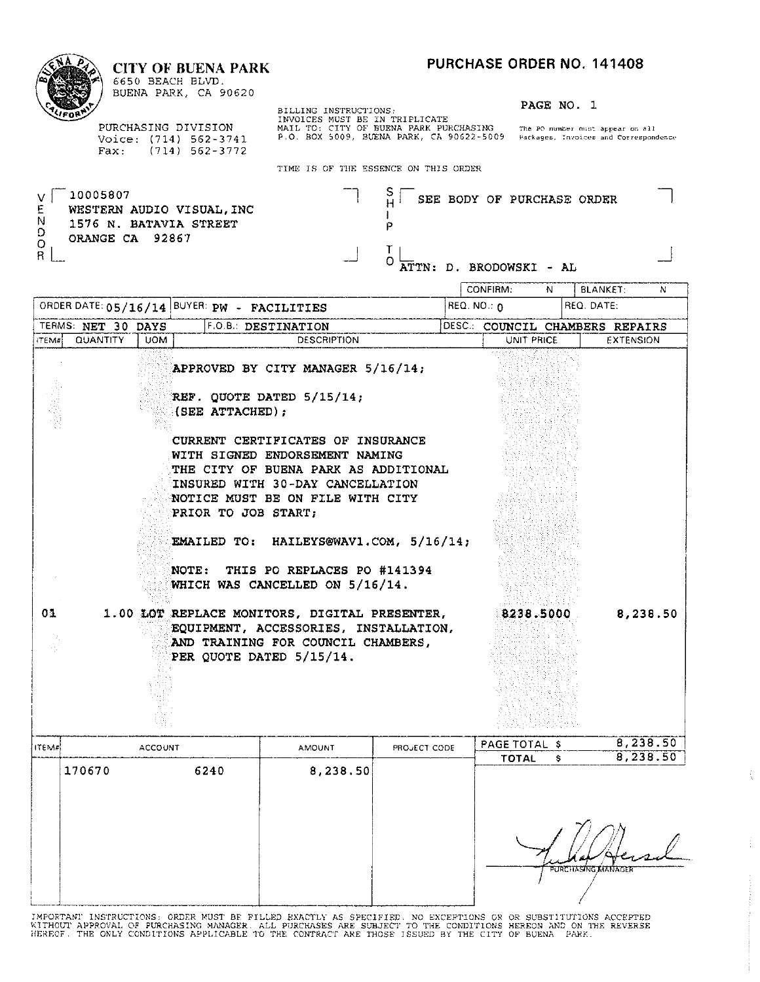#### **CITY OF BUENA PARK**



6650 BEACH BLVD. BUENA PARK, CA 90620

PURCHASING DIVISION Voice: (714) 562-3741<br>Fax: (714) 562-3772 BILLING INSTRUCTIONS:<br>INVOICES MUST BE IN TRIPLICATE<br>MAIL TO: CITY OF BUENA PARK PURCHASING The PO number must appear on all<br>P.O. BOX 5009, BUENA PARK, CA 90622-5009 Packages, Invoices and Correspondence

PAGE NO. 1

TIME IS OF THE ESSENCE ON THIS OFFICE

|                                        |                                |                |                                                     | TIME TO OF THE ESSENCE ON THIS ORDER                                                                                                                                                                                                                                                                                                                              |                   |                                                       |            |   |                                                     |          |
|----------------------------------------|--------------------------------|----------------|-----------------------------------------------------|-------------------------------------------------------------------------------------------------------------------------------------------------------------------------------------------------------------------------------------------------------------------------------------------------------------------------------------------------------------------|-------------------|-------------------------------------------------------|------------|---|-----------------------------------------------------|----------|
| v l<br>E<br>N<br>D<br>O<br>$\mathsf R$ | 10005807<br>ORANGE CA 92867    |                | WESTERN AUDIO VISUAL, INC<br>1576 N. BATAVIA STREET |                                                                                                                                                                                                                                                                                                                                                                   | Э<br>P<br>T.<br>O | SEE BODY OF PURCHASE ORDER<br>ATTN: D. BRODOWSKI - AL |            |   |                                                     |          |
|                                        |                                |                |                                                     |                                                                                                                                                                                                                                                                                                                                                                   |                   | CONFIRM:                                              | N          |   | <b>BLANKET:</b>                                     | N        |
|                                        |                                |                | ORDER DATE: 05/16/14 BUYER: PW - FACILITIES         |                                                                                                                                                                                                                                                                                                                                                                   |                   | $REQ. NO.: \Omega$                                    |            |   | REQ. DATE:                                          |          |
| ITEM#                                  | TERMS: NET 30 DAYS<br>QUANTITY | <b>UOM</b>     |                                                     | F.O.B.: DESTINATION<br><b>DESCRIPTION</b>                                                                                                                                                                                                                                                                                                                         |                   |                                                       | UNIT PRICE |   | DESC.: COUNCIL CHAMBERS REPAIRS<br><b>EXTENSION</b> |          |
|                                        |                                |                | (SEE ATTACHED);<br>PRIOR TO JOB START;<br>NOTE:     | APPROVED BY CITY MANAGER 5/16/14;<br>REF. QUOTE DATED 5/15/14;<br>CURRENT CERTIFICATES OF INSURANCE<br>WITH SIGNED ENDORSEMENT NAMING<br>THE CITY OF BUENA PARK AS ADDITIONAL<br>INSURED WITH 30-DAY CANCELLATION<br>NOTICE MUST BE ON FILE WITH CITY<br>EMAILED TO: HAILEYS@WAV1.COM, 5/16/14;<br>THIS PO REPLACES PO #141394<br>WHICH WAS CANCELLED ON 5/16/14. |                   |                                                       |            |   |                                                     |          |
| 01                                     |                                |                |                                                     | 1.00 LOT REPLACE MONITORS, DIGITAL PRESENTER,<br>EQUIPMENT, ACCESSORIES, INSTALLATION,<br>AND TRAINING FOR COUNCIL CHAMBERS,<br>PER QUOTE DATED 5/15/14.                                                                                                                                                                                                          |                   |                                                       | 8238.5000  |   |                                                     | 8,238.50 |
| ITEM#                                  |                                | <b>ACCOUNT</b> |                                                     | <b>AMOUNT</b>                                                                                                                                                                                                                                                                                                                                                     | PROJECT CODE      | PAGE TOTAL \$                                         |            |   |                                                     | 8,238.50 |
|                                        | 170670                         |                | 6240                                                | 8,238.50                                                                                                                                                                                                                                                                                                                                                          |                   |                                                       | TOTAL      | s |                                                     | 8,238.50 |
|                                        |                                |                |                                                     |                                                                                                                                                                                                                                                                                                                                                                   |                   |                                                       |            |   |                                                     |          |

| PURCHASING MANAGER |
|--------------------|
|                    |
|                    |

ţ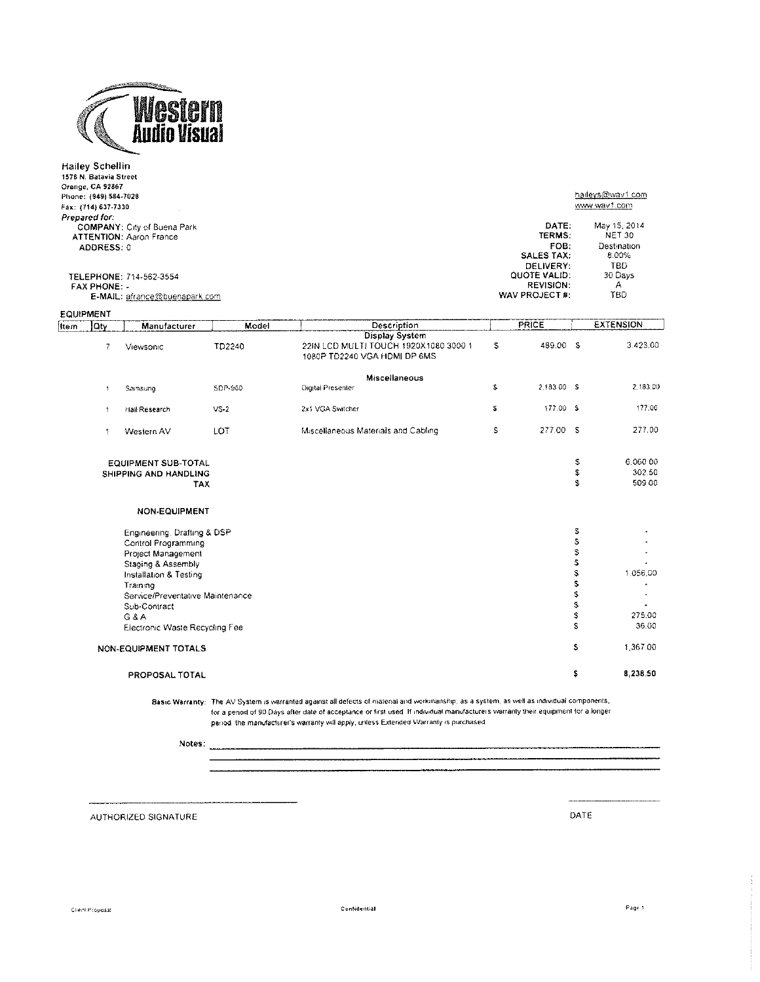

|      | <b>Hailey Schellin</b><br>1576 N. Batavia Street<br>Orange, CA 92867<br>Phone: (949) 584-7028<br>Fax: (714) 637-7330<br>Prepared for: | <b>COMPANY: City of Buena Park</b>                       |         |                                                                                                                                            |    | DATE:<br>TERMS:                                                               |          | haileys@way1.com<br>www.wav1.com<br>May 15, 2014<br>NET 30 |
|------|---------------------------------------------------------------------------------------------------------------------------------------|----------------------------------------------------------|---------|--------------------------------------------------------------------------------------------------------------------------------------------|----|-------------------------------------------------------------------------------|----------|------------------------------------------------------------|
|      | ADDRESS. 0                                                                                                                            | <b>ATTENTION: Aaron France</b>                           |         |                                                                                                                                            |    | FOB.                                                                          |          | Destination                                                |
|      | <b>FAX PHONE -</b>                                                                                                                    | TELEPHONE: 714-562-3554<br>E-MAIL: afrance@buenapark.com |         |                                                                                                                                            |    | SALES TAX:<br>DELIVERY:<br>QUOTE VALID:<br><b>REVISION:</b><br>WAV PROJECT #: |          | 8.00%<br>TBD<br>30 Days<br>А<br>TBD                        |
|      | <b>EQUIPMENT</b>                                                                                                                      |                                                          |         |                                                                                                                                            |    |                                                                               |          |                                                            |
| Item | Qty                                                                                                                                   | Manufacturer                                             | Model   | Description                                                                                                                                |    | PRICE                                                                         |          | <b>EXTENSION</b>                                           |
|      | $\overline{7}$                                                                                                                        | Viewsonic                                                | TD2240  | <b>Display System</b><br>22IN LCD MULTI TOUCH 1920X1080 3000 1<br>1080P TD2240 VGA HDMI DP 6MS                                             | \$ | 489.00 S                                                                      |          | 3.423.00                                                   |
|      |                                                                                                                                       |                                                          |         | Miscellaneous                                                                                                                              |    |                                                                               |          |                                                            |
|      | $\,$ $\,$                                                                                                                             | Samsung                                                  | SDP-960 | Digital Presenter                                                                                                                          | s  | 2,183.00 S                                                                    |          | 2,183.00                                                   |
|      | $\uparrow$                                                                                                                            | Hall Research                                            | $VS-2$  | 2x1 VGA Switcher                                                                                                                           | 2  | 177.00 \$                                                                     |          | 177.00                                                     |
|      | 1                                                                                                                                     | Western AV                                               | LOT     | Miscellaneous Materials and Cabling                                                                                                        | s  | 277.00 S                                                                      |          | 277.00                                                     |
|      |                                                                                                                                       | <b>EQUIPMENT SUB-TOTAL</b>                               |         |                                                                                                                                            |    |                                                                               | S        | 6.060.00                                                   |
|      |                                                                                                                                       | SHIPPING AND HANDLING<br>TAX                             |         |                                                                                                                                            |    |                                                                               | \$<br>Ŝ. | 302.50<br>509 00                                           |
|      |                                                                                                                                       | NON-EQUIPMENT                                            |         |                                                                                                                                            |    |                                                                               |          |                                                            |
|      |                                                                                                                                       | Engineering, Drafting & DSP                              |         |                                                                                                                                            |    |                                                                               | S        |                                                            |
|      |                                                                                                                                       | Control Programming                                      |         |                                                                                                                                            |    |                                                                               | \$       |                                                            |
|      |                                                                                                                                       | Project Management                                       |         |                                                                                                                                            |    |                                                                               | \$<br>\$ |                                                            |
|      |                                                                                                                                       | Staging & Assembly<br>Installation & Testing             |         |                                                                                                                                            |    |                                                                               | \$       | 1.056.00                                                   |
|      |                                                                                                                                       | Training                                                 |         |                                                                                                                                            |    |                                                                               | \$       |                                                            |
|      |                                                                                                                                       | Service/Preventative Maintenance                         |         |                                                                                                                                            |    |                                                                               | \$       |                                                            |
|      |                                                                                                                                       | Sub-Contract                                             |         |                                                                                                                                            |    |                                                                               | S        |                                                            |
|      |                                                                                                                                       | $G$ &A                                                   |         |                                                                                                                                            |    |                                                                               | S<br>s   | 275.00<br>36.00                                            |
|      |                                                                                                                                       | Electronic Waste Recycling Fee                           |         |                                                                                                                                            |    |                                                                               |          |                                                            |
|      |                                                                                                                                       | NON-EQUIPMENT TOTALS                                     |         |                                                                                                                                            |    |                                                                               | \$       | 1.367.00                                                   |
|      |                                                                                                                                       | PROPOSAL TOTAL                                           |         |                                                                                                                                            |    |                                                                               | s        | 8,238.50                                                   |
|      |                                                                                                                                       |                                                          |         | Basic Warranty: The AV System is warranted against all defects of material and workmanship, as a system, as well as individual components, |    |                                                                               |          |                                                            |

for a penod of 90 Days after date of acceptance or first used. If individual manufacturers warranty their equipment for a longer period the manufacturer's warranty will apply, unless Extended Warranty is purchased

Notes:

AUTHORIZED SIGNATURE

DATE

 $\overline{\phantom{a}}$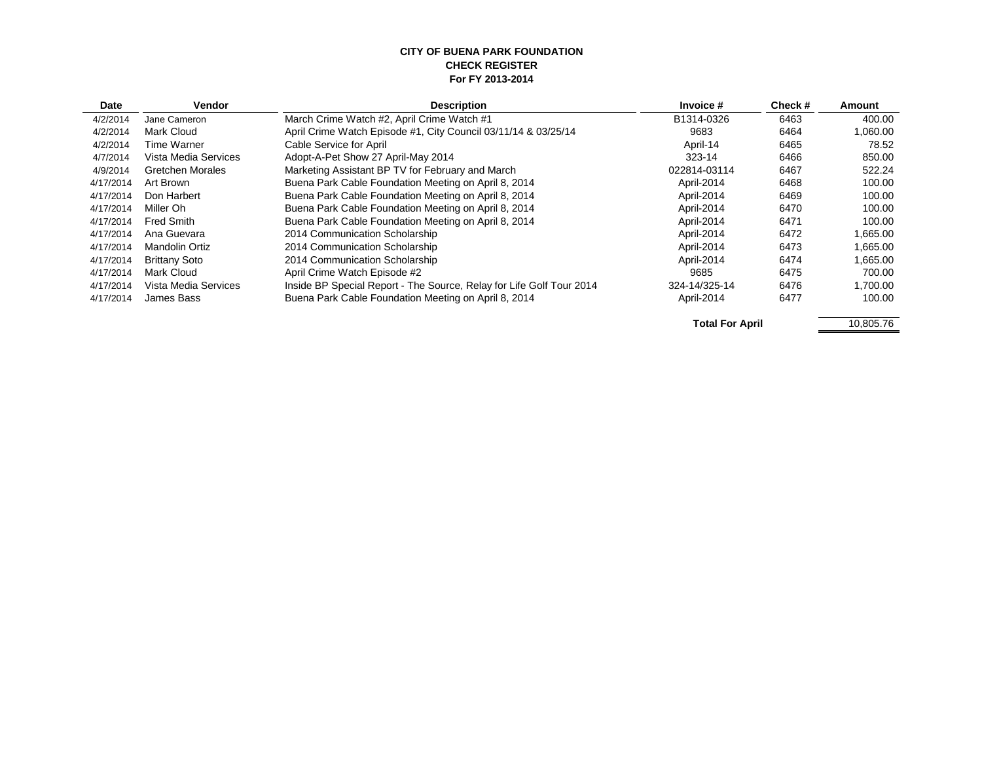#### **CITY OF BUENA PARK FOUNDATION CHECK REGISTER For FY 2013-2014**

| Date      | Vendor                  | <b>Description</b>                                                   | Invoice #     | Check# | Amount   |
|-----------|-------------------------|----------------------------------------------------------------------|---------------|--------|----------|
| 4/2/2014  | Jane Cameron            | March Crime Watch #2, April Crime Watch #1                           | B1314-0326    | 6463   | 400.00   |
| 4/2/2014  | Mark Cloud              | April Crime Watch Episode #1, City Council 03/11/14 & 03/25/14       | 9683          | 6464   | 1.060.00 |
| 4/2/2014  | Time Warner             | Cable Service for April                                              | April-14      | 6465   | 78.52    |
| 4/7/2014  | Vista Media Services    | Adopt-A-Pet Show 27 April-May 2014                                   | 323-14        | 6466   | 850.00   |
| 4/9/2014  | <b>Gretchen Morales</b> | Marketing Assistant BP TV for February and March                     | 022814-03114  | 6467   | 522.24   |
| 4/17/2014 | Art Brown               | Buena Park Cable Foundation Meeting on April 8, 2014                 | April-2014    | 6468   | 100.00   |
| 4/17/2014 | Don Harbert             | Buena Park Cable Foundation Meeting on April 8, 2014                 | April-2014    | 6469   | 100.00   |
| 4/17/2014 | Miller Oh               | Buena Park Cable Foundation Meeting on April 8, 2014                 | April-2014    | 6470   | 100.00   |
| 4/17/2014 | Fred Smith              | Buena Park Cable Foundation Meeting on April 8, 2014                 | April-2014    | 6471   | 100.00   |
| 4/17/2014 | Ana Guevara             | 2014 Communication Scholarship                                       | April-2014    | 6472   | 1,665.00 |
| 4/17/2014 | Mandolin Ortiz          | 2014 Communication Scholarship                                       | April-2014    | 6473   | 1.665.00 |
| 4/17/2014 | <b>Brittany Soto</b>    | 2014 Communication Scholarship                                       | April-2014    | 6474   | 1.665.00 |
| 4/17/2014 | Mark Cloud              | April Crime Watch Episode #2                                         | 9685          | 6475   | 700.00   |
| 4/17/2014 | Vista Media Services    | Inside BP Special Report - The Source, Relay for Life Golf Tour 2014 | 324-14/325-14 | 6476   | 1.700.00 |
| 4/17/2014 | James Bass              | Buena Park Cable Foundation Meeting on April 8, 2014                 | April-2014    | 6477   | 100.00   |

**Total For April 10,805.76**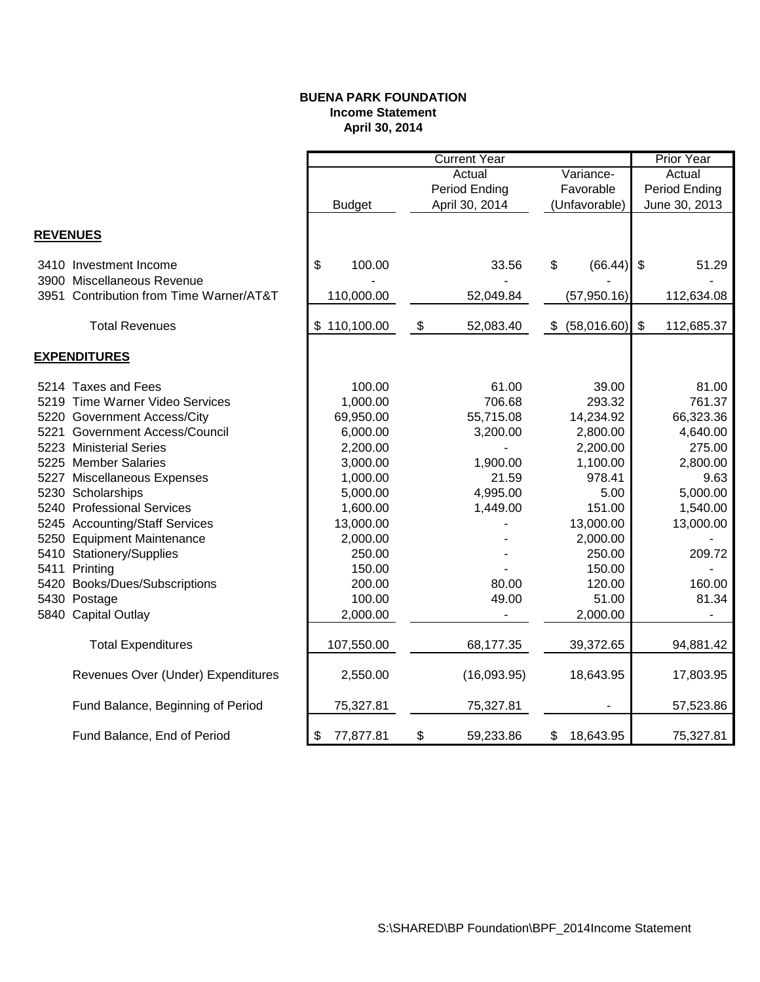#### **BUENA PARK FOUNDATION Income Statement April 30, 2014**

|                 |                                         |                 |                   | <b>Prior Year</b> |    |               |    |                          |
|-----------------|-----------------------------------------|-----------------|-------------------|-------------------|----|---------------|----|--------------------------|
|                 |                                         |                 |                   | Actual            |    | Variance-     |    | Actual                   |
|                 |                                         |                 |                   | Period Ending     |    | Favorable     |    | Period Ending            |
|                 |                                         | <b>Budget</b>   |                   | April 30, 2014    |    | (Unfavorable) |    | June 30, 2013            |
|                 |                                         |                 |                   |                   |    |               |    |                          |
| <b>REVENUES</b> |                                         |                 |                   |                   |    |               |    |                          |
|                 | 3410 Investment Income                  | \$<br>100.00    |                   | 33.56             | \$ | (66.44)       | \$ | 51.29                    |
|                 | 3900 Miscellaneous Revenue              |                 |                   |                   |    |               |    |                          |
|                 | 3951 Contribution from Time Warner/AT&T | 110,000.00      |                   | 52,049.84         |    | (57, 950.16)  |    | 112,634.08               |
|                 |                                         |                 |                   |                   |    |               |    |                          |
|                 | <b>Total Revenues</b>                   | \$110,100.00    | $\boldsymbol{\$}$ | 52,083.40         | \$ | (58,016.60)   | \$ | 112,685.37               |
|                 | <b>EXPENDITURES</b>                     |                 |                   |                   |    |               |    |                          |
|                 | 5214 Taxes and Fees                     | 100.00          |                   | 61.00             |    | 39.00         |    | 81.00                    |
|                 | 5219 Time Warner Video Services         | 1,000.00        |                   | 706.68            |    | 293.32        |    | 761.37                   |
|                 | 5220 Government Access/City             | 69,950.00       |                   | 55,715.08         |    | 14,234.92     |    | 66,323.36                |
|                 | 5221 Government Access/Council          | 6,000.00        | 3,200.00          |                   |    | 2,800.00      |    | 4,640.00                 |
|                 | 5223 Ministerial Series                 | 2,200.00        |                   |                   |    | 2,200.00      |    | 275.00                   |
|                 | 5225 Member Salaries                    | 3,000.00        |                   | 1,900.00          |    | 1,100.00      |    | 2,800.00                 |
|                 | 5227 Miscellaneous Expenses             | 1,000.00        |                   | 21.59             |    | 978.41        |    | 9.63                     |
|                 | 5230 Scholarships                       | 5,000.00        |                   | 4,995.00          |    | 5.00          |    | 5,000.00                 |
|                 | 5240 Professional Services              | 1,600.00        |                   | 1,449.00          |    | 151.00        |    | 1,540.00                 |
|                 | 5245 Accounting/Staff Services          | 13,000.00       |                   |                   |    | 13,000.00     |    | 13,000.00                |
|                 | 5250 Equipment Maintenance              | 2,000.00        |                   |                   |    | 2,000.00      |    |                          |
|                 | 5410 Stationery/Supplies                | 250.00          |                   |                   |    | 250.00        |    | 209.72                   |
|                 | 5411 Printing                           | 150.00          |                   |                   |    | 150.00        |    |                          |
|                 | 5420 Books/Dues/Subscriptions           | 200.00          |                   | 80.00             |    | 120.00        |    | 160.00                   |
|                 | 5430 Postage                            | 100.00          |                   | 49.00             |    | 51.00         |    | 81.34                    |
|                 | 5840 Capital Outlay                     | 2,000.00        |                   |                   |    | 2,000.00      |    | $\overline{\phantom{a}}$ |
|                 | <b>Total Expenditures</b>               | 107,550.00      |                   | 68,177.35         |    | 39,372.65     |    | 94,881.42                |
|                 | Revenues Over (Under) Expenditures      | 2,550.00        |                   | (16,093.95)       |    | 18,643.95     |    | 17,803.95                |
|                 | Fund Balance, Beginning of Period       | 75,327.81       |                   | 75,327.81         |    |               |    | 57,523.86                |
|                 | Fund Balance, End of Period             | 77,877.81<br>\$ | \$                | 59,233.86         | \$ | 18,643.95     |    | 75,327.81                |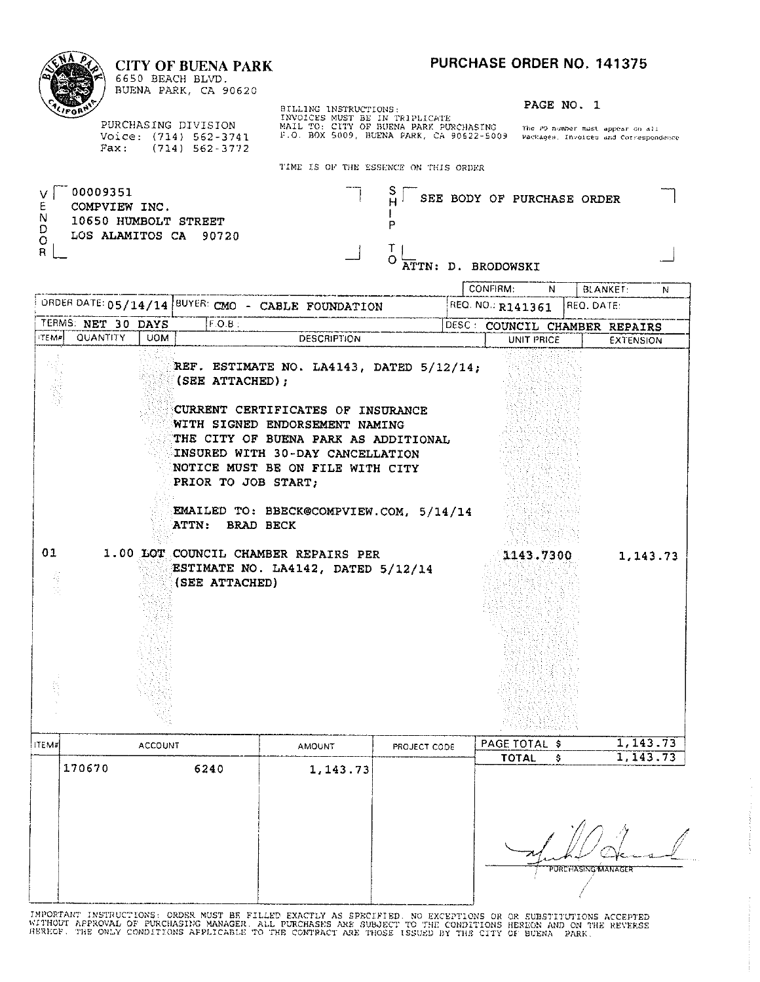CONFIRM:

### **CITY OF BUENA PARK**

| r.<br>٠ |
|---------|
| ۰<br>ι, |

6650 BEACH BLVD. BUENA PARK, CA 90620

PURCHASING DIVISION Voice: (714) 562-3741 Fax: (714) 562-3772 BILLING INSTRUCTIONS:<br>INVOICES MUST BE IN TRIPLICATE<br>MAIL TO: CITY OF BUENA PARK PURCHASING The PO-number must appear on all<br>F.O. BOX 5009, BUENA PARK, CA 90622-5009 Packages, Invoices and Correspondence

PAGE NO. 1

 $\overline{N}$ 

BLANKET:

 $\overline{N}$ 

TIME IS OF THE ESSENCE ON THIS ORDER

| 00009351<br>COMPVIEW INC.<br>N<br>10650 HUMBOLT STREET<br>D | ◡<br>SEE BODY OF PURCHASE ORDER |  |
|-------------------------------------------------------------|---------------------------------|--|
| LOS ALAMITOS CA 90720<br>$\circ$<br>R                       | ATTN: D. BRODOWSKI              |  |

|              |                    |                |                |           |                                                           | ORDER DATE: 05/14/14  BUYER: CMO - CABLE FOUNDATION                                                                                                                                                                                                                        |              | REQ. NO.: R141361             | REQ. DATE:         |           |
|--------------|--------------------|----------------|----------------|-----------|-----------------------------------------------------------|----------------------------------------------------------------------------------------------------------------------------------------------------------------------------------------------------------------------------------------------------------------------------|--------------|-------------------------------|--------------------|-----------|
|              | TERMS: NET 30 DAYS |                |                | $F.O.B$ : |                                                           |                                                                                                                                                                                                                                                                            |              | DESC: COUNCIL CHAMBER REPAIRS |                    |           |
| <b>ITEMP</b> | QUANTITY           | <b>UOM</b>     |                |           |                                                           | <b>DESCRIPTION</b>                                                                                                                                                                                                                                                         |              | UNIT PRICE                    |                    | EXTENSION |
|              |                    |                |                |           | (SEE ATTACHED);<br>PRIOR TO JOB START;<br>ATTN: BRAD BECK | REF. ESTIMATE NO. LA4143, DATED 5/12/14;<br>CURRENT CERTIFICATES OF INSURANCE<br>WITH SIGNED ENDORSEMENT NAMING<br>THE CITY OF BUENA PARK AS ADDITIONAL<br>INSURED WITH 30-DAY CANCELLATION<br>NOTICE MUST BE ON FILE WITH CITY<br>EMAILED TO: BBECK@COMPVIEW.COM, 5/14/14 |              |                               |                    |           |
| 01<br>有法     |                    |                | (SEE ATTACHED) |           |                                                           | 1.00 LOT COUNCIL CHAMBER REPAIRS PER<br>ESTIMATE NO. LA4142, DATED 5/12/14                                                                                                                                                                                                 |              | 1143.7300                     |                    | 1, 143.73 |
| <b>ITEM#</b> |                    | <b>ACCOUNT</b> |                |           |                                                           | <b>AMOUNT</b>                                                                                                                                                                                                                                                              | PROJECT CODE | PAGE TOTAL \$                 |                    | 1,143.73  |
|              | 170670             |                |                | 6240      |                                                           |                                                                                                                                                                                                                                                                            |              | <b>TOTAL</b>                  | \$                 | 1,143.73  |
|              |                    |                |                |           |                                                           | 1, 143.73                                                                                                                                                                                                                                                                  |              |                               | PORCHASING MANAGER |           |

IMPORTANT INSTRUCTIONS: ORDER MUST BE FILLED EXACTLY AS SPECIFIED. NO EXCEPTIONS OR OR SUBSTITUTIONS ACCEPTED<br>WITHOUT APPROVAL OF PURCHASING MANAGER. ALL PURCHASES ARE SUBJECT TO THE CONDITIONS HEREON AND ON THE REVERSE<br>HE

-1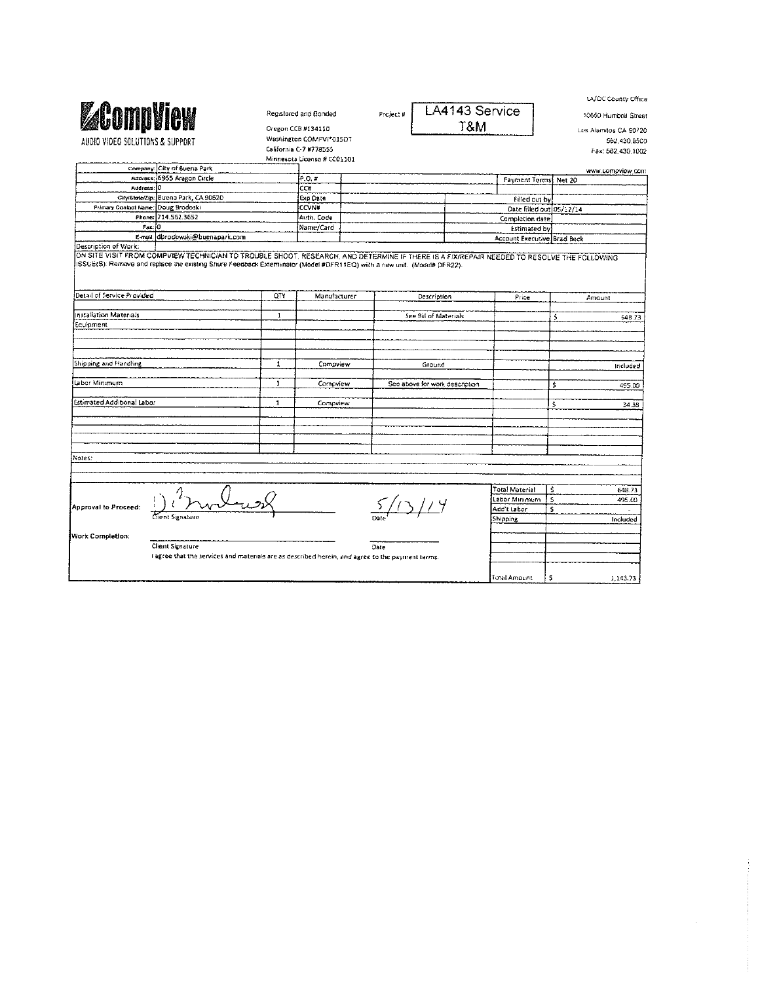| <b>ZCompliew</b><br>AUDIO VIDEO SOLUTIONS & SUPPORT<br>Company: City of Buena Park<br>Address: 6955 Aragon Circle<br>City/State/Zip: Buena Park, CA 90620<br>Primary Contact Name: Doug Brodoski<br>Phone: 714.562.3652<br>E-mail: dbrodowski@buenapark.com<br>ON SITE VISIT FROM COMPVIEW TECHNICIAN TO TROUBLE SHOOT. RESEARCH, AND DETERMINE IF THERE IS A FIXIREPAIR NEEDED TO RESOLVE THE FOLLOWING<br>ISSUE(S): Remove and replace the existing Shure Feedback Exterminator (Model #DFR11EQ) with a new unit. (Model# DFR22). | QTY<br>$\mathbf{1}$ | Registered and Bonded<br>Oregon CCB #134110<br>Washington COMPVI*015DT<br>California C-7 #778555<br>Minnesota License # CC01101<br>P, O, H<br>CC#<br>Exp Date<br><b>CCVN#</b><br>Auth. Code<br>Name/Card<br>Manufacturer | Project # | Description<br>See Bill of Materials | LA4143 Service<br>T&M                                                                          | Payment Terms Net 20<br>Filled out by:<br>Date filled out 05/12/14<br>Completion date<br><b>Estimated by</b><br>Account Executive. Brad Beck<br>Price | ś                                                                          | 10650 Humboll Street<br>Los Alamitos CA 90720<br>562 430 9500<br>Fax: 562.430.1002<br>www.compview.com<br>Amount |
|-------------------------------------------------------------------------------------------------------------------------------------------------------------------------------------------------------------------------------------------------------------------------------------------------------------------------------------------------------------------------------------------------------------------------------------------------------------------------------------------------------------------------------------|---------------------|--------------------------------------------------------------------------------------------------------------------------------------------------------------------------------------------------------------------------|-----------|--------------------------------------|------------------------------------------------------------------------------------------------|-------------------------------------------------------------------------------------------------------------------------------------------------------|----------------------------------------------------------------------------|------------------------------------------------------------------------------------------------------------------|
|                                                                                                                                                                                                                                                                                                                                                                                                                                                                                                                                     |                     |                                                                                                                                                                                                                          |           |                                      |                                                                                                |                                                                                                                                                       |                                                                            |                                                                                                                  |
|                                                                                                                                                                                                                                                                                                                                                                                                                                                                                                                                     |                     |                                                                                                                                                                                                                          |           |                                      |                                                                                                |                                                                                                                                                       |                                                                            |                                                                                                                  |
|                                                                                                                                                                                                                                                                                                                                                                                                                                                                                                                                     |                     |                                                                                                                                                                                                                          |           |                                      |                                                                                                |                                                                                                                                                       |                                                                            |                                                                                                                  |
|                                                                                                                                                                                                                                                                                                                                                                                                                                                                                                                                     |                     |                                                                                                                                                                                                                          |           |                                      |                                                                                                |                                                                                                                                                       |                                                                            |                                                                                                                  |
|                                                                                                                                                                                                                                                                                                                                                                                                                                                                                                                                     |                     |                                                                                                                                                                                                                          |           |                                      |                                                                                                |                                                                                                                                                       |                                                                            |                                                                                                                  |
|                                                                                                                                                                                                                                                                                                                                                                                                                                                                                                                                     |                     |                                                                                                                                                                                                                          |           |                                      |                                                                                                |                                                                                                                                                       |                                                                            |                                                                                                                  |
|                                                                                                                                                                                                                                                                                                                                                                                                                                                                                                                                     |                     |                                                                                                                                                                                                                          |           |                                      |                                                                                                |                                                                                                                                                       |                                                                            |                                                                                                                  |
|                                                                                                                                                                                                                                                                                                                                                                                                                                                                                                                                     |                     |                                                                                                                                                                                                                          |           |                                      |                                                                                                |                                                                                                                                                       |                                                                            |                                                                                                                  |
|                                                                                                                                                                                                                                                                                                                                                                                                                                                                                                                                     |                     |                                                                                                                                                                                                                          |           |                                      |                                                                                                |                                                                                                                                                       |                                                                            |                                                                                                                  |
|                                                                                                                                                                                                                                                                                                                                                                                                                                                                                                                                     |                     |                                                                                                                                                                                                                          |           |                                      |                                                                                                |                                                                                                                                                       |                                                                            |                                                                                                                  |
|                                                                                                                                                                                                                                                                                                                                                                                                                                                                                                                                     |                     |                                                                                                                                                                                                                          |           |                                      |                                                                                                |                                                                                                                                                       |                                                                            |                                                                                                                  |
|                                                                                                                                                                                                                                                                                                                                                                                                                                                                                                                                     |                     |                                                                                                                                                                                                                          |           |                                      |                                                                                                |                                                                                                                                                       |                                                                            |                                                                                                                  |
|                                                                                                                                                                                                                                                                                                                                                                                                                                                                                                                                     |                     |                                                                                                                                                                                                                          |           |                                      |                                                                                                |                                                                                                                                                       |                                                                            |                                                                                                                  |
|                                                                                                                                                                                                                                                                                                                                                                                                                                                                                                                                     |                     |                                                                                                                                                                                                                          |           |                                      |                                                                                                |                                                                                                                                                       |                                                                            |                                                                                                                  |
|                                                                                                                                                                                                                                                                                                                                                                                                                                                                                                                                     |                     |                                                                                                                                                                                                                          |           |                                      |                                                                                                |                                                                                                                                                       |                                                                            |                                                                                                                  |
|                                                                                                                                                                                                                                                                                                                                                                                                                                                                                                                                     |                     |                                                                                                                                                                                                                          |           |                                      |                                                                                                |                                                                                                                                                       |                                                                            | 648.73                                                                                                           |
|                                                                                                                                                                                                                                                                                                                                                                                                                                                                                                                                     |                     |                                                                                                                                                                                                                          |           |                                      |                                                                                                |                                                                                                                                                       |                                                                            |                                                                                                                  |
|                                                                                                                                                                                                                                                                                                                                                                                                                                                                                                                                     |                     |                                                                                                                                                                                                                          |           |                                      |                                                                                                |                                                                                                                                                       |                                                                            |                                                                                                                  |
|                                                                                                                                                                                                                                                                                                                                                                                                                                                                                                                                     | $\mathbf{1}$        | Compview                                                                                                                                                                                                                 |           | Ground                               |                                                                                                |                                                                                                                                                       |                                                                            | included                                                                                                         |
|                                                                                                                                                                                                                                                                                                                                                                                                                                                                                                                                     | $\mathbf{1}$        | Compview                                                                                                                                                                                                                 |           | See above for work description       |                                                                                                |                                                                                                                                                       | Ś                                                                          | 495.00                                                                                                           |
|                                                                                                                                                                                                                                                                                                                                                                                                                                                                                                                                     | $\mathbf 1$         | Compview                                                                                                                                                                                                                 |           |                                      |                                                                                                |                                                                                                                                                       | Ś                                                                          | 34.55                                                                                                            |
|                                                                                                                                                                                                                                                                                                                                                                                                                                                                                                                                     |                     |                                                                                                                                                                                                                          |           |                                      |                                                                                                |                                                                                                                                                       |                                                                            |                                                                                                                  |
|                                                                                                                                                                                                                                                                                                                                                                                                                                                                                                                                     |                     |                                                                                                                                                                                                                          |           |                                      |                                                                                                |                                                                                                                                                       |                                                                            |                                                                                                                  |
|                                                                                                                                                                                                                                                                                                                                                                                                                                                                                                                                     |                     |                                                                                                                                                                                                                          |           |                                      |                                                                                                |                                                                                                                                                       |                                                                            |                                                                                                                  |
|                                                                                                                                                                                                                                                                                                                                                                                                                                                                                                                                     |                     |                                                                                                                                                                                                                          |           |                                      |                                                                                                |                                                                                                                                                       |                                                                            |                                                                                                                  |
|                                                                                                                                                                                                                                                                                                                                                                                                                                                                                                                                     |                     |                                                                                                                                                                                                                          |           |                                      |                                                                                                |                                                                                                                                                       | -S                                                                         | 648.73                                                                                                           |
|                                                                                                                                                                                                                                                                                                                                                                                                                                                                                                                                     |                     |                                                                                                                                                                                                                          |           |                                      |                                                                                                |                                                                                                                                                       |                                                                            | 495.00                                                                                                           |
|                                                                                                                                                                                                                                                                                                                                                                                                                                                                                                                                     |                     |                                                                                                                                                                                                                          |           |                                      |                                                                                                |                                                                                                                                                       |                                                                            | ä,                                                                                                               |
|                                                                                                                                                                                                                                                                                                                                                                                                                                                                                                                                     |                     |                                                                                                                                                                                                                          |           |                                      |                                                                                                |                                                                                                                                                       |                                                                            | Included                                                                                                         |
|                                                                                                                                                                                                                                                                                                                                                                                                                                                                                                                                     |                     |                                                                                                                                                                                                                          |           |                                      |                                                                                                |                                                                                                                                                       |                                                                            |                                                                                                                  |
| Client Signature                                                                                                                                                                                                                                                                                                                                                                                                                                                                                                                    |                     |                                                                                                                                                                                                                          |           |                                      |                                                                                                |                                                                                                                                                       |                                                                            |                                                                                                                  |
|                                                                                                                                                                                                                                                                                                                                                                                                                                                                                                                                     |                     |                                                                                                                                                                                                                          |           |                                      |                                                                                                |                                                                                                                                                       |                                                                            |                                                                                                                  |
|                                                                                                                                                                                                                                                                                                                                                                                                                                                                                                                                     |                     |                                                                                                                                                                                                                          |           |                                      |                                                                                                |                                                                                                                                                       |                                                                            |                                                                                                                  |
|                                                                                                                                                                                                                                                                                                                                                                                                                                                                                                                                     |                     |                                                                                                                                                                                                                          |           |                                      |                                                                                                |                                                                                                                                                       | s                                                                          | 1,143.73                                                                                                         |
|                                                                                                                                                                                                                                                                                                                                                                                                                                                                                                                                     | Client Signature    |                                                                                                                                                                                                                          |           | Date                                 | agree that the services and materials are as described herein, and agree to the payment terms. |                                                                                                                                                       | Total Material<br>Labor Minimum<br>Add't Labor<br>Shipping<br>Total Amount | s<br>\$                                                                                                          |

 $\label{eq:1} \mathcal{F}(\mathcal{F}) = \mathcal{F}(\mathcal{F}) \times \mathcal{F}(\mathcal{F}) \times \mathcal{F}(\mathcal{F}) \times \mathcal{F}(\mathcal{F}) \times \mathcal{F}(\mathcal{F})$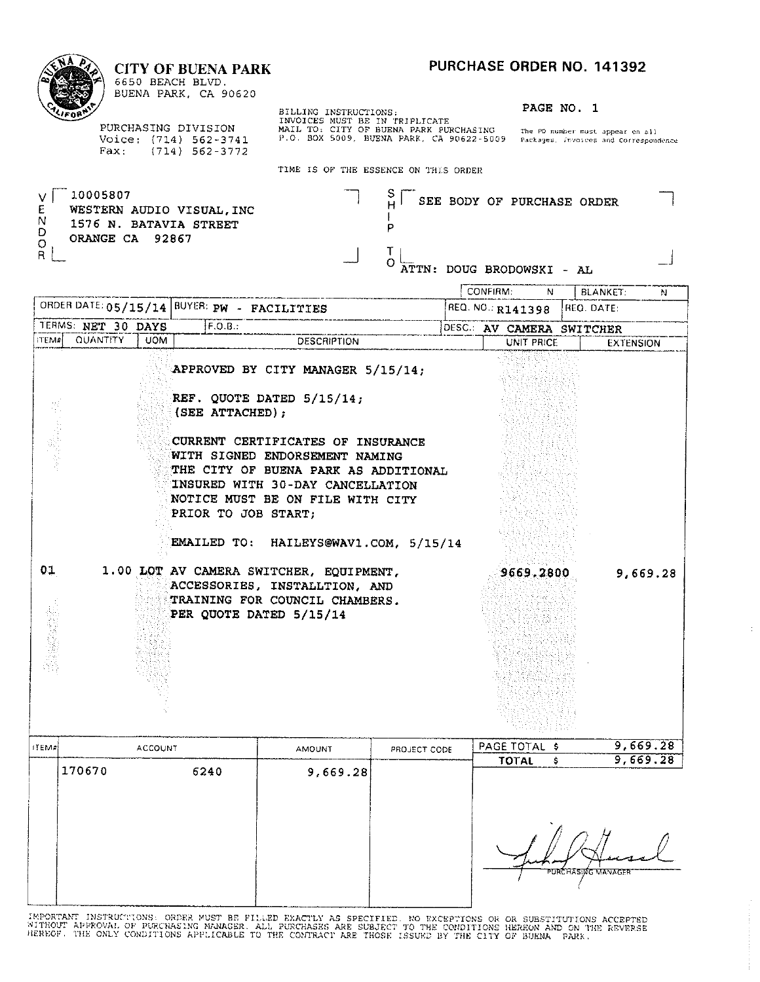#### **NA** ò PURCHASE ORDER NO. 141392 **CITY OF BUENA PARK** 6650 BEACH BLVD. BUENA PARK, CA 90620 BILLING INSTRUCTIONS: FRIPLICATE RAGE NO. 1<br>INVOICES MUST BE IN TRIPLICATE<br>MAIL TO: CITY OF BUENA PARK PURCHASING The PO number must appear on all<br>P.O. BOX 5009, BUENA PARK, CA 90622-5009 Packages, Invoices and Corresponde PAGE NO. 1 PURCHASING DIVISION Voice: (714) 562-3741<br>Fax: (714) 562-3772 TIME IS OF T  $-10005807$

 $\begin{array}{c} \begin{array}{c} \end{array} \end{array}$ 

 $\begin{array}{c} 10 \\ 0 \\ 0 \\ 0 \end{array}$ WESTERN AUDIO VISUAL, INC 1576 N. BATAVIA STREET ORANGE CA 92867  $\overline{P}_{R}$ 

| THE ESSENCE ON THIS ORDER |  |                              |  |
|---------------------------|--|------------------------------|--|
|                           |  | S SEE BODY OF PURCHASE ORDER |  |

 $\begin{array}{ccc} \n\begin{array}{ccc} \n\mathbf{J} & \n\end{array} & \n\begin{array}{ccc} \n\mathbf{J} & \n\end{array} & \n\mathbf{A} & \n\end{array}$ 

|              |                    |                |                                             |                                                                                                                                                                                                                   |              | CONFIRM: | N                         |                   | <b>BLANKET:</b><br>N |
|--------------|--------------------|----------------|---------------------------------------------|-------------------------------------------------------------------------------------------------------------------------------------------------------------------------------------------------------------------|--------------|----------|---------------------------|-------------------|----------------------|
|              |                    |                | ORDER DATE: 05/15/14 BUYER: PW - FACILITIES |                                                                                                                                                                                                                   |              |          | REQ. NO.: R141398         | REO. DATE:        |                      |
|              | TERMS: NET 30 DAYS |                | F.O.B.:                                     |                                                                                                                                                                                                                   |              |          | DESC.: AV CAMERA SWITCHER |                   |                      |
|              | ITEM# QUANTITY     | <b>UOM</b>     |                                             | <b>DESCRIPTION</b>                                                                                                                                                                                                |              |          | UNIT PRICE                |                   | <b>EXTENSION</b>     |
| 基因素数要        |                    |                | (SEE ATTACHED);                             | APPROVED BY CITY MANAGER 5/15/14;<br>REF. QUOTE DATED 5/15/14;<br>CURRENT CERTIFICATES OF INSURANCE<br>WITH SIGNED ENDORSEMENT NAMING<br>THE CITY OF BUENA PARK AS ADDITIONAL<br>INSURED WITH 30-DAY CANCELLATION |              |          |                           |                   |                      |
|              |                    |                | PRIOR TO JOB START:                         | NOTICE MUST BE ON FILE WITH CITY<br>EMAILED TO: HAILEYS@WAV1.COM, 5/15/14                                                                                                                                         |              |          |                           |                   |                      |
| 01           |                    |                |                                             | 1.00 LOT AV CAMERA SWITCHER, EQUIPMENT,<br>ACCESSORIES, INSTALLTION, AND<br>TRAINING FOR COUNCIL CHAMBERS.<br>PER QUOTE DATED 5/15/14                                                                             |              |          | 9669,2800                 |                   | 9,669.28             |
| <b>ITEM7</b> |                    | <b>ACCOUNT</b> |                                             | <b>AMOUNT</b>                                                                                                                                                                                                     | PROJECT CODE |          | PAGE TOTAL \$             |                   | 9,669.28             |
|              | 170670             |                | 6240                                        | 9,669.28                                                                                                                                                                                                          |              |          | <b>TOTAL</b><br>Ŝ.        |                   | 9,669.28             |
|              |                    |                |                                             |                                                                                                                                                                                                                   |              |          |                           | URCHASING MANAGEI |                      |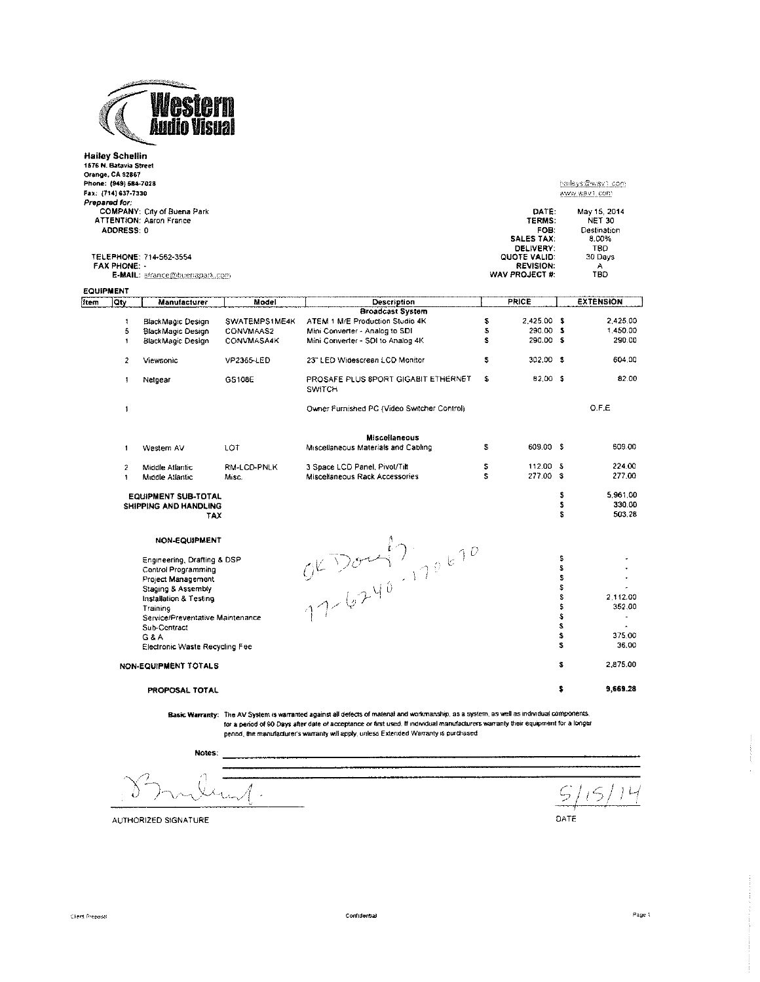

|                                 | Hailey Schellin<br>1576 N. Batavia Street<br>Orange, CA 92867<br>Phone: (949) 584-7028<br>Fax: {714} 637-7330<br>Prepared for.<br>ADDRESS: 0<br><b>FAX PHONE:</b> | COMPANY: City of Buena Park<br><b>ATTENTION: Aaron France</b><br>TELEPHONE: 714-562-3554 |                      |                                                                                                                                            |          | DATE:<br>TERMS:<br>FOB:<br><b>SALES TAX:</b><br>DELIVERY:<br>QUOTE VALID:<br><b>REVISION:</b> |             | haileys@wav1.com<br>www.wav1.com<br>May 15, 2014<br><b>NET 30</b><br>Destination<br>8.00%<br>TBD.<br>30 Days<br>А |
|---------------------------------|-------------------------------------------------------------------------------------------------------------------------------------------------------------------|------------------------------------------------------------------------------------------|----------------------|--------------------------------------------------------------------------------------------------------------------------------------------|----------|-----------------------------------------------------------------------------------------------|-------------|-------------------------------------------------------------------------------------------------------------------|
|                                 |                                                                                                                                                                   | E-MAIL: afrance@buenapark.com                                                            |                      |                                                                                                                                            |          | WAV PROJECT #:                                                                                |             | TBD                                                                                                               |
| <b>EQUIPMENT</b><br><b>Item</b> | Qty                                                                                                                                                               | Manufacturer                                                                             | Model                | Description                                                                                                                                |          | <b>PRICE</b>                                                                                  |             | <b>EXTENSION</b>                                                                                                  |
|                                 |                                                                                                                                                                   |                                                                                          |                      | <b>Broadcast System</b>                                                                                                                    |          |                                                                                               |             |                                                                                                                   |
|                                 | $\mathbf{f}$                                                                                                                                                      | BlackMagic Design                                                                        | SWATEMPS1ME4K        | ATEM 1 M/E Production Studio 4K                                                                                                            | S        | 2 425.00 \$                                                                                   |             | 2,425.00                                                                                                          |
|                                 | 5                                                                                                                                                                 | BlackMagic Design                                                                        | CONVMAAS2            | Mini Converter - Analog to SDI                                                                                                             | \$       | 290.00 \$                                                                                     |             | 1,450.00                                                                                                          |
|                                 | $\mathbf{1}$                                                                                                                                                      | BlackMagic Design                                                                        | CONVMASA4K           | Mini Converter - SDI to Analog 4K                                                                                                          | S        | 290.00 \$                                                                                     |             | 290.00                                                                                                            |
|                                 | $\overline{2}$                                                                                                                                                    | <b>Viewsonic</b>                                                                         | VP2365-LED           | 23" LED Widescreen LCD Monitor                                                                                                             | \$       | 302.00 \$                                                                                     |             | 604.00                                                                                                            |
|                                 | $\mathbf{1}$                                                                                                                                                      | Netgear                                                                                  | GS108E               | PROSAFE PLUS 8PORT GIGABIT ETHERNET<br><b>SWITCH</b>                                                                                       | \$       | 82.00 \$                                                                                      |             | 82.00                                                                                                             |
|                                 | $\pmb{\mathfrak{f}}$                                                                                                                                              |                                                                                          |                      | Owner Furnished PC (Video Switcher Control)                                                                                                |          |                                                                                               |             | O.F.E                                                                                                             |
|                                 |                                                                                                                                                                   |                                                                                          |                      | <b>Miscellaneous</b>                                                                                                                       |          |                                                                                               |             |                                                                                                                   |
|                                 | $\mathbf{1}$                                                                                                                                                      | Western AV                                                                               | LOT                  | Miscellaneous Materials and Cabling                                                                                                        | 3        | 609.00 \$                                                                                     |             | 609.00                                                                                                            |
|                                 | $\overline{\mathbf{c}}$<br>$\ddagger$                                                                                                                             | Middle Atlantic<br>Middle Atlantic                                                       | RM-LCD-PNLK<br>Misc. | 3 Space LCD Panel, Pivot/Tilt<br>Miscellaneous Rack Accessories                                                                            | \$<br>S. | 112.00 \$<br>277.00 \$                                                                        |             | 224.00<br>277.00                                                                                                  |
|                                 |                                                                                                                                                                   | <b>EQUIPMENT SUB-TOTAL</b><br>SHIPPING AND HANDLING<br>TAX                               |                      |                                                                                                                                            |          |                                                                                               | s<br>s<br>Ś | 5,961.00<br>330.00<br>503.28                                                                                      |
|                                 |                                                                                                                                                                   | <b>NON-EQUIPMENT</b>                                                                     |                      | OKDOM! 7,70670                                                                                                                             |          |                                                                                               |             |                                                                                                                   |
|                                 |                                                                                                                                                                   | Engineering, Drafting & DSP                                                              |                      |                                                                                                                                            |          |                                                                                               | \$          |                                                                                                                   |
|                                 |                                                                                                                                                                   | Control Programming                                                                      |                      |                                                                                                                                            |          |                                                                                               | \$          |                                                                                                                   |
|                                 |                                                                                                                                                                   | Project Management                                                                       |                      |                                                                                                                                            |          |                                                                                               | S           | ÷.                                                                                                                |
|                                 |                                                                                                                                                                   | Staging & Assembly                                                                       |                      |                                                                                                                                            |          |                                                                                               | \$<br>Ś     |                                                                                                                   |
|                                 |                                                                                                                                                                   | Installation & Testing                                                                   |                      |                                                                                                                                            |          |                                                                                               | s           | 2.112.00<br>352.00                                                                                                |
|                                 |                                                                                                                                                                   | Training<br>Service/Preventative Maintenance                                             |                      |                                                                                                                                            |          |                                                                                               | \$          |                                                                                                                   |
|                                 |                                                                                                                                                                   | Sub-Contract                                                                             |                      |                                                                                                                                            |          |                                                                                               | s           |                                                                                                                   |
|                                 |                                                                                                                                                                   | G & A                                                                                    |                      |                                                                                                                                            |          |                                                                                               | s           | 375.00                                                                                                            |
|                                 |                                                                                                                                                                   | Electronic Waste Recycling Fee                                                           |                      |                                                                                                                                            |          |                                                                                               | s           | 36.00                                                                                                             |
|                                 |                                                                                                                                                                   | NON-EQUIPMENT TOTALS                                                                     |                      |                                                                                                                                            |          |                                                                                               | \$          | 2,875.00                                                                                                          |
|                                 |                                                                                                                                                                   | PROPOSAL TOTAL                                                                           |                      |                                                                                                                                            |          |                                                                                               | \$          | 9,669.28                                                                                                          |
|                                 |                                                                                                                                                                   |                                                                                          |                      | Basic Warranty: The AV System is warranted against all defects of material and workmanship, as a system, as well as individual components. |          |                                                                                               |             |                                                                                                                   |

For a period of 90 Days after date of acceptance or first used. If individual manufacturers warrantly their equipment for a longer<br>for a period of 90 Days after date of acceptance or first used. If individual manufacturers

Notes:

L,

 $5/$  $15$  $L/$ DATE

AUTHORIZED SIGNATURE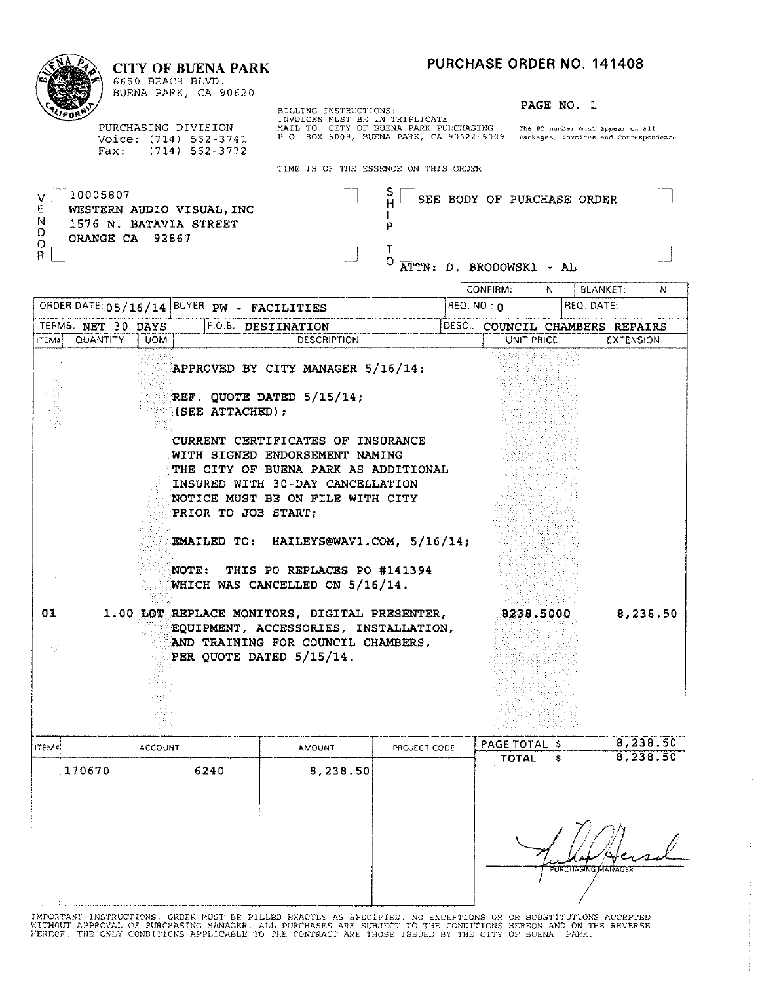#### **CITY OF BUENA PARK**



6650 BEACH BLVD. BUENA PARK, CA 90620

PURCHASING DIVISION Voice: (714) 562-3741<br>Fax: (714) 562-3772 BILLING INSTRUCTIONS:<br>INVOICES MUST BE IN TRIPLICATE<br>MAIL TO: CITY OF BUENA PARK PURCHASING The PO number must appear on all<br>P.O. BOX 5009, BUENA PARK, CA 90622-5009 Packages, Invoices and Correspondence

PAGE NO. 1

TIME IS OF THE ESSENCE ON THIS OFFICE

|                                        |                                |                |                                                     | TIME TO OF THE ESSENCE ON THIS ORDER                                                                                                                                                                                                                                                                                                                              |                   |                                                       |            |   |                                                     |          |
|----------------------------------------|--------------------------------|----------------|-----------------------------------------------------|-------------------------------------------------------------------------------------------------------------------------------------------------------------------------------------------------------------------------------------------------------------------------------------------------------------------------------------------------------------------|-------------------|-------------------------------------------------------|------------|---|-----------------------------------------------------|----------|
| v l<br>E<br>N<br>D<br>O<br>$\mathsf R$ | 10005807<br>ORANGE CA 92867    |                | WESTERN AUDIO VISUAL, INC<br>1576 N. BATAVIA STREET |                                                                                                                                                                                                                                                                                                                                                                   | Э<br>P<br>T.<br>O | SEE BODY OF PURCHASE ORDER<br>ATTN: D. BRODOWSKI - AL |            |   |                                                     |          |
|                                        |                                |                |                                                     |                                                                                                                                                                                                                                                                                                                                                                   |                   | CONFIRM:                                              | N          |   | <b>BLANKET:</b>                                     | N        |
|                                        |                                |                | ORDER DATE: 05/16/14 BUYER: PW - FACILITIES         |                                                                                                                                                                                                                                                                                                                                                                   |                   | $REQ. NO.: \Omega$                                    |            |   | REQ. DATE:                                          |          |
| ITEM#                                  | TERMS: NET 30 DAYS<br>QUANTITY | <b>UOM</b>     |                                                     | F.O.B.: DESTINATION<br><b>DESCRIPTION</b>                                                                                                                                                                                                                                                                                                                         |                   |                                                       | UNIT PRICE |   | DESC.: COUNCIL CHAMBERS REPAIRS<br><b>EXTENSION</b> |          |
|                                        |                                |                | (SEE ATTACHED);<br>PRIOR TO JOB START;<br>NOTE:     | APPROVED BY CITY MANAGER 5/16/14;<br>REF. QUOTE DATED 5/15/14;<br>CURRENT CERTIFICATES OF INSURANCE<br>WITH SIGNED ENDORSEMENT NAMING<br>THE CITY OF BUENA PARK AS ADDITIONAL<br>INSURED WITH 30-DAY CANCELLATION<br>NOTICE MUST BE ON FILE WITH CITY<br>EMAILED TO: HAILEYS@WAV1.COM, 5/16/14;<br>THIS PO REPLACES PO #141394<br>WHICH WAS CANCELLED ON 5/16/14. |                   |                                                       |            |   |                                                     |          |
| 01                                     |                                |                |                                                     | 1.00 LOT REPLACE MONITORS, DIGITAL PRESENTER,<br>EQUIPMENT, ACCESSORIES, INSTALLATION,<br>AND TRAINING FOR COUNCIL CHAMBERS,<br>PER QUOTE DATED 5/15/14.                                                                                                                                                                                                          |                   |                                                       | 8238.5000  |   |                                                     | 8,238.50 |
| ITEM#                                  |                                | <b>ACCOUNT</b> |                                                     | <b>AMOUNT</b>                                                                                                                                                                                                                                                                                                                                                     | PROJECT CODE      | PAGE TOTAL \$                                         |            |   |                                                     | 8,238.50 |
|                                        | 170670                         |                | 6240                                                | 8,238.50                                                                                                                                                                                                                                                                                                                                                          |                   |                                                       | TOTAL      | s |                                                     | 8,238.50 |
|                                        |                                |                |                                                     |                                                                                                                                                                                                                                                                                                                                                                   |                   |                                                       |            |   |                                                     |          |

| PURCHASING KIANAGER |
|---------------------|
|                     |
|                     |

ţ